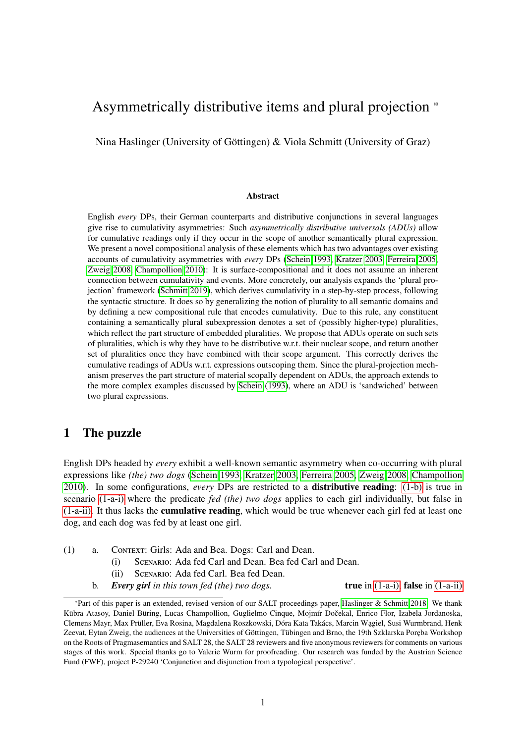# Asymmetrically distributive items and plural projection \*

Nina Haslinger (University of Göttingen) & Viola Schmitt (University of Graz)

#### Abstract

English *every* DPs, their German counterparts and distributive conjunctions in several languages give rise to cumulativity asymmetries: Such *asymmetrically distributive universals (ADUs)* allow for cumulative readings only if they occur in the scope of another semantically plural expression. We present a novel compositional analysis of these elements which has two advantages over existing accounts of cumulativity asymmetries with *every* DPs [\(Schein 1993,](#page-35-0) [Kratzer 2003,](#page-35-1) [Ferreira 2005,](#page-34-0) [Zweig 2008,](#page-36-0) [Champollion 2010\)](#page-34-1): It is surface-compositional and it does not assume an inherent connection between cumulativity and events. More concretely, our analysis expands the 'plural projection' framework [\(Schmitt 2019\)](#page-36-1), which derives cumulativity in a step-by-step process, following the syntactic structure. It does so by generalizing the notion of plurality to all semantic domains and by defining a new compositional rule that encodes cumulativity. Due to this rule, any constituent containing a semantically plural subexpression denotes a set of (possibly higher-type) pluralities, which reflect the part structure of embedded pluralities. We propose that ADUs operate on such sets of pluralities, which is why they have to be distributive w.r.t. their nuclear scope, and return another set of pluralities once they have combined with their scope argument. This correctly derives the cumulative readings of ADUs w.r.t. expressions outscoping them. Since the plural-projection mechanism preserves the part structure of material scopally dependent on ADUs, the approach extends to the more complex examples discussed by [Schein](#page-35-0) [\(1993\)](#page-35-0), where an ADU is 'sandwiched' between two plural expressions.

## <span id="page-0-3"></span>1 The puzzle

English DPs headed by *every* exhibit a well-known semantic asymmetry when co-occurring with plural expressions like *(the) two dogs* [\(Schein 1993,](#page-35-0) [Kratzer 2003,](#page-35-1) [Ferreira 2005,](#page-34-0) [Zweig 2008,](#page-36-0) [Champollion](#page-34-1) [2010\)](#page-34-1). In some configurations, *every* DPs are restricted to a distributive reading: [\(1-b\)](#page-0-0) is true in scenario [\(1-a-i\)](#page-0-1) where the predicate *fed (the) two dogs* applies to each girl individually, but false in [\(1-a-ii\).](#page-0-2) It thus lacks the cumulative reading, which would be true whenever each girl fed at least one dog, and each dog was fed by at least one girl.

- <span id="page-0-2"></span><span id="page-0-1"></span>(1) a. Context: Girls: Ada and Bea. Dogs: Carl and Dean.
	- (i) Scenario: Ada fed Carl and Dean. Bea fed Carl and Dean.
	- (ii) Scenario: Ada fed Carl. Bea fed Dean.
	- b. *Every girl in this town fed (the) two dogs.* true in [\(1-a-i\),](#page-0-1) false in [\(1-a-ii\)](#page-0-2)

<span id="page-0-0"></span><sup>\*</sup>Part of this paper is an extended, revised version of our SALT proceedings paper, [Haslinger & Schmitt 2018.](#page-34-2) We thank Kübra Atasoy, Daniel Büring, Lucas Champollion, Guglielmo Cinque, Mojmír Dočekal, Enrico Flor, Izabela Jordanoska, Clemens Mayr, Max Prüller, Eva Rosina, Magdalena Roszkowski, Dóra Kata Takács, Marcin W ˛agiel, Susi Wurmbrand, Henk Zeevat, Eytan Zweig, the audiences at the Universities of Göttingen, Tübingen and Brno, the 19th Szklarska Poreba Workshop on the Roots of Pragmasemantics and SALT 28, the SALT 28 reviewers and five anonymous reviewers for comments on various stages of this work. Special thanks go to Valerie Wurm for proofreading. Our research was funded by the Austrian Science Fund (FWF), project P-29240 'Conjunction and disjunction from a typological perspective'.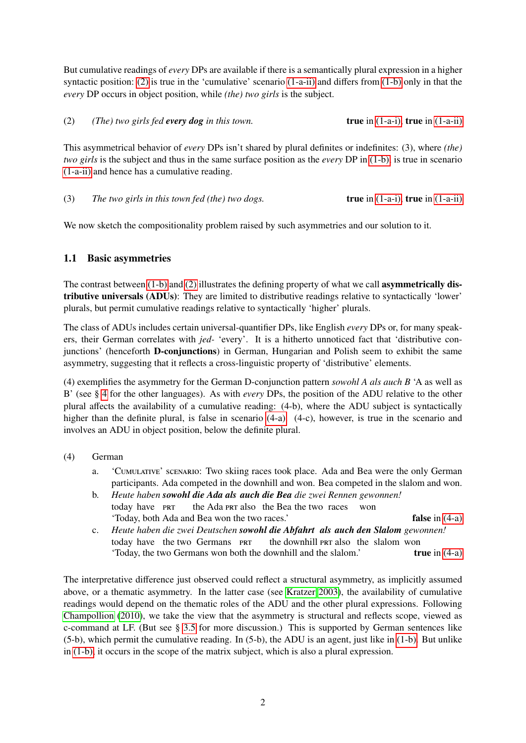But cumulative readings of *every* DPs are available if there is a semantically plural expression in a higher syntactic position: [\(2\)](#page-1-0) is true in the 'cumulative' scenario [\(1-a-ii\)](#page-0-2) and differs from [\(1-b\)](#page-0-0) only in that the *every* DP occurs in object position, while *(the) two girls* is the subject.

<span id="page-1-0"></span>(2) *(The) two girls fed every dog in this town.* true in [\(1-a-i\),](#page-0-1) true in [\(1-a-ii\)](#page-0-2)

This asymmetrical behavior of *every* DPs isn't shared by plural definites or indefinites: (3), where *(the) two girls* is the subject and thus in the same surface position as the *every* DP in [\(1-b\),](#page-0-0) is true in scenario [\(1-a-ii\)](#page-0-2) and hence has a cumulative reading.

<span id="page-1-3"></span>(3) *The two girls in this town fed (the) two dogs.* true in [\(1-a-i\),](#page-0-1) true in [\(1-a-ii\)](#page-0-2)

We now sketch the compositionality problem raised by such asymmetries and our solution to it.

## 1.1 Basic asymmetries

The contrast between [\(1-b\)](#page-0-0) and [\(2\)](#page-1-0) illustrates the defining property of what we call **asymmetrically dis**tributive universals (ADUs): They are limited to distributive readings relative to syntactically 'lower' plurals, but permit cumulative readings relative to syntactically 'higher' plurals.

The class of ADUs includes certain universal-quantifier DPs, like English *every* DPs or, for many speakers, their German correlates with *jed-* 'every'. It is a hitherto unnoticed fact that 'distributive conjunctions' (henceforth D-conjunctions) in German, Hungarian and Polish seem to exhibit the same asymmetry, suggesting that it reflects a cross-linguistic property of 'distributive' elements.

(4) exemplifies the asymmetry for the German D-conjunction pattern *sowohl A als auch B* 'A as well as B' (see § [4](#page-21-0) for the other languages). As with *every* DPs, the position of the ADU relative to the other plural affects the availability of a cumulative reading: (4-b), where the ADU subject is syntactically higher than the definite plural, is false in scenario [\(4-a\).](#page-1-1) (4-c), however, is true in the scenario and involves an ADU in object position, below the definite plural.

- <span id="page-1-4"></span><span id="page-1-1"></span>(4) German
	- a. 'Cumulative' scenario: Two skiing races took place. Ada and Bea were the only German participants. Ada competed in the downhill and won. Bea competed in the slalom and won.
	- b. *Heute haben sowohl die Ada als auch die Bea die zwei Rennen gewonnen!* today have **PRT** the Ada PRT also the Bea the two races won 'Today, both Ada and Bea won the two races.' false in [\(4-a\)](#page-1-1)
	- c. *Heute haben die zwei Deutschen sowohl die Abfahrt als auch den Slalom gewonnen!* today have the two Germans PRT the downhill PRT also the slalom won 'Today, the two Germans won both the downhill and the slalom.' true in [\(4-a\)](#page-1-1)

<span id="page-1-6"></span><span id="page-1-5"></span><span id="page-1-2"></span>The interpretative difference just observed could reflect a structural asymmetry, as implicitly assumed above, or a thematic asymmetry. In the latter case (see [Kratzer 2003\)](#page-35-1), the availability of cumulative readings would depend on the thematic roles of the ADU and the other plural expressions. Following [Champollion](#page-34-1) [\(2010\)](#page-34-1), we take the view that the asymmetry is structural and reflects scope, viewed as c-command at LF. (But see § [3.5](#page-19-0) for more discussion.) This is supported by German sentences like (5-b), which permit the cumulative reading. In (5-b), the ADU is an agent, just like in [\(1-b\).](#page-0-0) But unlike in [\(1-b\),](#page-0-0) it occurs in the scope of the matrix subject, which is also a plural expression.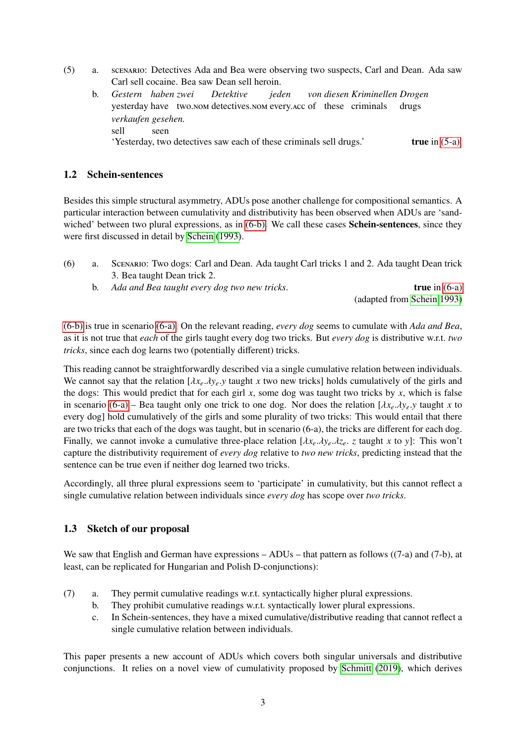- <span id="page-2-4"></span>(5) a. scenario: Detectives Ada and Bea were observing two suspects, Carl and Dean. Ada saw Carl sell cocaine. Bea saw Dean sell heroin.
	- b. *Gestern haben zwei* yesterday have two.nom detectives.nom every.acc of these criminals *Detektive jeden von diesen Kriminellen Drogen* drugs *verkaufen gesehen.* sell seen 'Yesterday, two detectives saw each of these criminals sell drugs.' true in [\(5-a\)](#page-1-2)

### 1.2 Schein-sentences

Besides this simple structural asymmetry, ADUs pose another challenge for compositional semantics. A particular interaction between cumulativity and distributivity has been observed when ADUs are 'sand-wiched' between two plural expressions, as in [\(6-b\).](#page-2-0) We call these cases **Schein-sentences**, since they were first discussed in detail by [Schein](#page-35-0) [\(1993\)](#page-35-0).

- <span id="page-2-2"></span><span id="page-2-1"></span><span id="page-2-0"></span>(6) a. Scenario: Two dogs: Carl and Dean. Ada taught Carl tricks 1 and 2. Ada taught Dean trick 3. Bea taught Dean trick 2.
	- b. *Ada and Bea taught every dog two new tricks*. **true** in [\(6-a\)](#page-2-1) (adapted from [Schein 1993\)](#page-35-0)

[\(6-b\)](#page-2-0) is true in scenario [\(6-a\).](#page-2-1) On the relevant reading, *every dog* seems to cumulate with *Ada and Bea*, as it is not true that *each* of the girls taught every dog two tricks. But *every dog* is distributive w.r.t. *two tricks*, since each dog learns two (potentially different) tricks.

This reading cannot be straightforwardly described via a single cumulative relation between individuals. We cannot say that the relation  $[\lambda x_e \cdot \lambda y_e \cdot y$  taught *x* two new tricks] holds cumulatively of the girls and the dogs: This would predict that for each girl *x*, some dog was taught two tricks by *x*, which is false in scenario [\(6-a\)](#page-2-1) – Bea taught only one trick to one dog. Nor does the relation  $[\lambda x_e \cdot \lambda y_e]$ ,  $y_e$  taught  $x$  to every dog] hold cumulatively of the girls and some plurality of two tricks: This would entail that there are two tricks that each of the dogs was taught, but in scenario (6-a), the tricks are different for each dog. Finally, we cannot invoke a cumulative three-place relation  $[\lambda x_e, \lambda y_e, \lambda z_e]$ , z taught x to y: This won't capture the distributivity requirement of *every dog* relative to *two new tricks*, predicting instead that the sentence can be true even if neither dog learned two tricks.

Accordingly, all three plural expressions seem to 'participate' in cumulativity, but this cannot reflect a single cumulative relation between individuals since *every dog* has scope over *two tricks*.

## <span id="page-2-3"></span>1.3 Sketch of our proposal

We saw that English and German have expressions – ADUs – that pattern as follows ((7-a) and (7-b), at least, can be replicated for Hungarian and Polish D-conjunctions):

- (7) a. They permit cumulative readings w.r.t. syntactically higher plural expressions.
	- b. They prohibit cumulative readings w.r.t. syntactically lower plural expressions.
	- c. In Schein-sentences, they have a mixed cumulative/distributive reading that cannot reflect a single cumulative relation between individuals.

This paper presents a new account of ADUs which covers both singular universals and distributive conjunctions. It relies on a novel view of cumulativity proposed by [Schmitt](#page-36-1) [\(2019\)](#page-36-1), which derives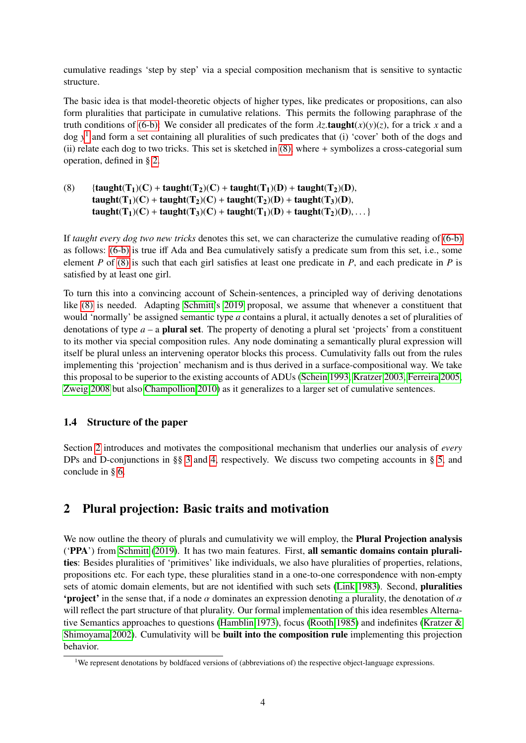cumulative readings 'step by step' via a special composition mechanism that is sensitive to syntactic structure.

The basic idea is that model-theoretic objects of higher types, like predicates or propositions, can also form pluralities that participate in cumulative relations. This permits the following paraphrase of the truth conditions of [\(6-b\):](#page-2-0) We consider all predicates of the form  $\lambda z$ .taught(x)(y)(z), for a trick x and a dog *y* [1](#page-3-0) and form a set containing all pluralities of such predicates that (i) 'cover' both of the dogs and (ii) relate each dog to two tricks. This set is sketched in [\(8\),](#page-3-1) where + symbolizes a cross-categorial sum operation, defined in § [2.](#page-3-2)

<span id="page-3-1"></span>(8)  ${\arctan}({\bf T}_1)(C) + {\bf taught}({\bf T}_2)(C) + {\bf taught}({\bf T}_1)(D) + {\bf taught}({\bf T}_2)(D),$ taught(T<sub>1</sub>)(C) + taught(T<sub>2</sub>)(C) + taught(T<sub>2</sub>)(D) + taught(T<sub>3</sub>)(D), taught(T<sub>1</sub>)(C) + taught(T<sub>3</sub>)(C) + taught(T<sub>1</sub>)(D) + taught(T<sub>2</sub>)(D), . . . }

If *taught every dog two new tricks* denotes this set, we can characterize the cumulative reading of [\(6-b\)](#page-2-0) as follows: [\(6-b\)](#page-2-0) is true iff Ada and Bea cumulatively satisfy a predicate sum from this set, i.e., some element *P* of [\(8\)](#page-3-1) is such that each girl satisfies at least one predicate in *P*, and each predicate in *P* is satisfied by at least one girl.

To turn this into a convincing account of Schein-sentences, a principled way of deriving denotations like [\(8\)](#page-3-1) is needed. Adapting [Schmitt'](#page-36-1)s [2019](#page-36-1) proposal, we assume that whenever a constituent that would 'normally' be assigned semantic type *a* contains a plural, it actually denotes a set of pluralities of denotations of type  $a - a$  **plural set**. The property of denoting a plural set 'projects' from a constituent to its mother via special composition rules. Any node dominating a semantically plural expression will itself be plural unless an intervening operator blocks this process. Cumulativity falls out from the rules implementing this 'projection' mechanism and is thus derived in a surface-compositional way. We take this proposal to be superior to the existing accounts of ADUs [\(Schein 1993,](#page-35-0) [Kratzer 2003,](#page-35-1) [Ferreira 2005,](#page-34-0) [Zweig 2008](#page-36-0) but also [Champollion 2010\)](#page-34-1) as it generalizes to a larger set of cumulative sentences.

### 1.4 Structure of the paper

Section [2](#page-3-2) introduces and motivates the compositional mechanism that underlies our analysis of *every* DPs and D-conjunctions in §§ [3](#page-15-0) and [4,](#page-21-0) respectively. We discuss two competing accounts in § [5,](#page-27-0) and conclude in § [6.](#page-32-0)

## <span id="page-3-2"></span>2 Plural projection: Basic traits and motivation

We now outline the theory of plurals and cumulativity we will employ, the **Plural Projection analysis** ('PPA') from [Schmitt](#page-36-1) [\(2019\)](#page-36-1). It has two main features. First, all semantic domains contain pluralities: Besides pluralities of 'primitives' like individuals, we also have pluralities of properties, relations, propositions etc. For each type, these pluralities stand in a one-to-one correspondence with non-empty sets of atomic domain elements, but are not identified with such sets [\(Link 1983\)](#page-35-2). Second, pluralities 'project' in the sense that, if a node  $\alpha$  dominates an expression denoting a plurality, the denotation of  $\alpha$ will reflect the part structure of that plurality. Our formal implementation of this idea resembles Alternative Semantics approaches to questions [\(Hamblin 1973\)](#page-34-3), focus [\(Rooth 1985\)](#page-35-3) and indefinites [\(Kratzer &](#page-35-4) [Shimoyama 2002\)](#page-35-4). Cumulativity will be **built into the composition rule** implementing this projection behavior.

<span id="page-3-0"></span><sup>&</sup>lt;sup>1</sup>We represent denotations by boldfaced versions of (abbreviations of) the respective object-language expressions.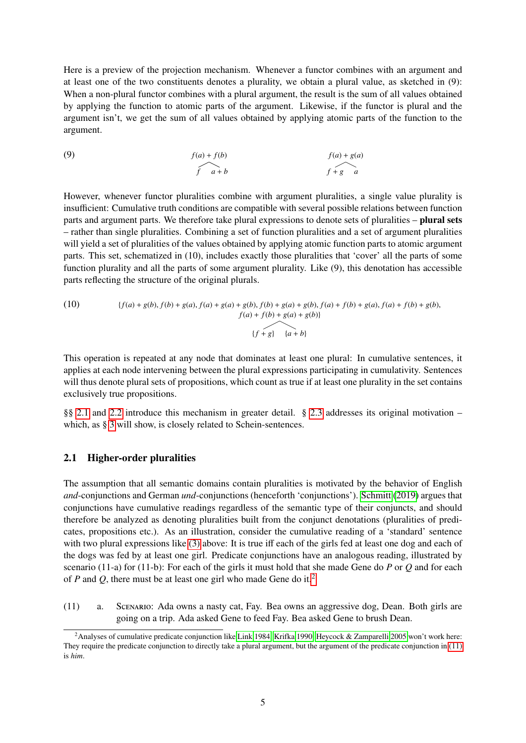Here is a preview of the projection mechanism. Whenever a functor combines with an argument and at least one of the two constituents denotes a plurality, we obtain a plural value, as sketched in (9): When a non-plural functor combines with a plural argument, the result is the sum of all values obtained by applying the function to atomic parts of the argument. Likewise, if the functor is plural and the argument isn't, we get the sum of all values obtained by applying atomic parts of the function to the argument.

(9) 
$$
f(a) + f(b) \qquad f(a) + g(a)
$$

$$
f \qquad f + g \qquad a
$$

However, whenever functor pluralities combine with argument pluralities, a single value plurality is insufficient: Cumulative truth conditions are compatible with several possible relations between function parts and argument parts. We therefore take plural expressions to denote sets of pluralities – **plural sets** – rather than single pluralities. Combining a set of function pluralities and a set of argument pluralities will yield a set of pluralities of the values obtained by applying atomic function parts to atomic argument parts. This set, schematized in (10), includes exactly those pluralities that 'cover' all the parts of some function plurality and all the parts of some argument plurality. Like (9), this denotation has accessible parts reflecting the structure of the original plurals.

(10) 
$$
\{f(a) + g(b), f(b) + g(a), f(a) + g(a) + g(b), f(b) + g(a) + g(b), f(a) + f(b) + g(a), f(a) + f(b) + g(b), f(a) + f(b) + g(b)\}
$$

$$
\{f + g\} \{a + b\}
$$

This operation is repeated at any node that dominates at least one plural: In cumulative sentences, it applies at each node intervening between the plural expressions participating in cumulativity. Sentences will thus denote plural sets of propositions, which count as true if at least one plurality in the set contains exclusively true propositions.

§§ [2.1](#page-4-0) and [2.2](#page-6-0) introduce this mechanism in greater detail. § [2.3](#page-13-0) addresses its original motivation – which, as § [3](#page-15-0) will show, is closely related to Schein-sentences.

#### <span id="page-4-0"></span>2.1 Higher-order pluralities

The assumption that all semantic domains contain pluralities is motivated by the behavior of English *and*-conjunctions and German *und*-conjunctions (henceforth 'conjunctions'). [Schmitt](#page-36-1) [\(2019\)](#page-36-1) argues that conjunctions have cumulative readings regardless of the semantic type of their conjuncts, and should therefore be analyzed as denoting pluralities built from the conjunct denotations (pluralities of predicates, propositions etc.). As an illustration, consider the cumulative reading of a 'standard' sentence with two plural expressions like [\(3\)](#page-1-3) above: It is true iff each of the girls fed at least one dog and each of the dogs was fed by at least one girl. Predicate conjunctions have an analogous reading, illustrated by scenario (11-a) for (11-b): For each of the girls it must hold that she made Gene do *P* or *Q* and for each of *P* and *Q*, there must be at least one girl who made Gene do it.[2](#page-4-1)

<span id="page-4-2"></span>(11) a. Scenario: Ada owns a nasty cat, Fay. Bea owns an aggressive dog, Dean. Both girls are going on a trip. Ada asked Gene to feed Fay. Bea asked Gene to brush Dean.

<span id="page-4-1"></span><sup>&</sup>lt;sup>2</sup>Analyses of cumulative predicate conjunction like [Link 1984,](#page-35-5) [Krifka 1990,](#page-35-6) [Heycock & Zamparelli 2005](#page-34-4) won't work here: They require the predicate conjunction to directly take a plural argument, but the argument of the predicate conjunction in [\(11\)](#page-4-2) is *him*.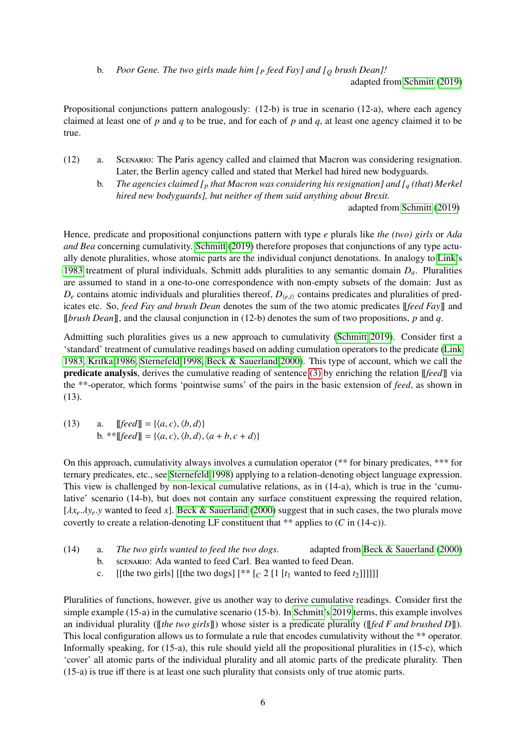b. *Poor Gene. The two girls made him [<sup>P</sup> feed Fay] and [<sup>Q</sup> brush Dean]!*

adapted from [Schmitt](#page-36-1) [\(2019\)](#page-36-1)

Propositional conjunctions pattern analogously: (12-b) is true in scenario (12-a), where each agency claimed at least one of *p* and *q* to be true, and for each of *p* and *q*, at least one agency claimed it to be true.

- (12) a. Scenario: The Paris agency called and claimed that Macron was considering resignation. Later, the Berlin agency called and stated that Merkel had hired new bodyguards.
	- b. *The agencies claimed [<sup>p</sup> that Macron was considering his resignation] and [<sup>q</sup> (that) Merkel hired new bodyguards], but neither of them said anything about Brexit.*

adapted from [Schmitt](#page-36-1) [\(2019\)](#page-36-1)

Hence, predicate and propositional conjunctions pattern with type *e* plurals like *the (two) girls* or *Ada and Bea* concerning cumulativity. [Schmitt](#page-36-1) [\(2019\)](#page-36-1) therefore proposes that conjunctions of any type actually denote pluralities, whose atomic parts are the individual conjunct denotations. In analogy to [Link'](#page-35-2)s [1983](#page-35-2) treatment of plural individuals, Schmitt adds pluralities to any semantic domain *Da*. Pluralities are assumed to stand in a one-to-one correspondence with non-empty subsets of the domain: Just as  $D_e$  contains atomic individuals and pluralities thereof,  $D_{\langle e,t\rangle}$  contains predicates and pluralities of predicates etc. So, *feed Fay and brush Dean* denotes the sum of the two atomic predicates [[*feed Fay*]] and [[*brush Dean*]], and the clausal conjunction in (12-b) denotes the sum of two propositions, *p* and *q*.

Admitting such pluralities gives us a new approach to cumulativity [\(Schmitt 2019\)](#page-36-1). Consider first a 'standard' treatment of cumulative readings based on adding cumulation operators to the predicate [\(Link](#page-35-2) [1983,](#page-35-2) [Krifka 1986,](#page-35-7) [Sternefeld 1998,](#page-36-2) [Beck & Sauerland 2000\)](#page-33-0). This type of account, which we call the predicate analysis, derives the cumulative reading of sentence [\(3\)](#page-1-3) by enriching the relation [[*feed*]] via the \*\*-operator, which forms 'pointwise sums' of the pairs in the basic extension of *feed*, as shown in (13).

(13) a. 
$$
\llbracket \text{feed} \rrbracket = \{ \langle a, c \rangle, \langle b, d \rangle \}
$$
  
b. 
$$
* \llbracket \text{feed} \rrbracket = \{ \langle a, c \rangle, \langle b, d \rangle, \langle a + b, c + d \rangle \}
$$

On this approach, cumulativity always involves a cumulation operator (\*\* for binary predicates, \*\*\* for ternary predicates, etc., see [Sternefeld 1998\)](#page-36-2) applying to a relation-denoting object language expression. This view is challenged by non-lexical cumulative relations, as in (14-a), which is true in the 'cumulative' scenario (14-b), but does not contain any surface constituent expressing the required relation,  $[\lambda x_e, \lambda y_e, y$  wanted to feed *x*]. [Beck & Sauerland](#page-33-0) [\(2000\)](#page-33-0) suggest that in such cases, the two plurals move covertly to create a relation-denoting LF constituent that \*\* applies to (*C* in (14-c)).

- <span id="page-5-0"></span>(14) a. *The two girls wanted to feed the two dogs.* adapted from [Beck & Sauerland](#page-33-0) [\(2000\)](#page-33-0)
	- b. scenario: Ada wanted to feed Carl. Bea wanted to feed Dean.
	- c. [[the two girls] [[the two dogs]  $[**[c 2 [1 [t_1] \t{1}]$ ]]]]]]

Pluralities of functions, however, give us another way to derive cumulative readings. Consider first the simple example (15-a) in the cumulative scenario (15-b). In [Schmitt'](#page-36-1)s [2019](#page-36-1) terms, this example involves an individual plurality ([[*the two girls*]]) whose sister is a predicate plurality ([[*fed F and brushed D*]]). This local configuration allows us to formulate a rule that encodes cumulativity without the \*\* operator. Informally speaking, for (15-a), this rule should yield all the propositional pluralities in (15-c), which 'cover' all atomic parts of the individual plurality and all atomic parts of the predicate plurality. Then (15-a) is true iff there is at least one such plurality that consists only of true atomic parts.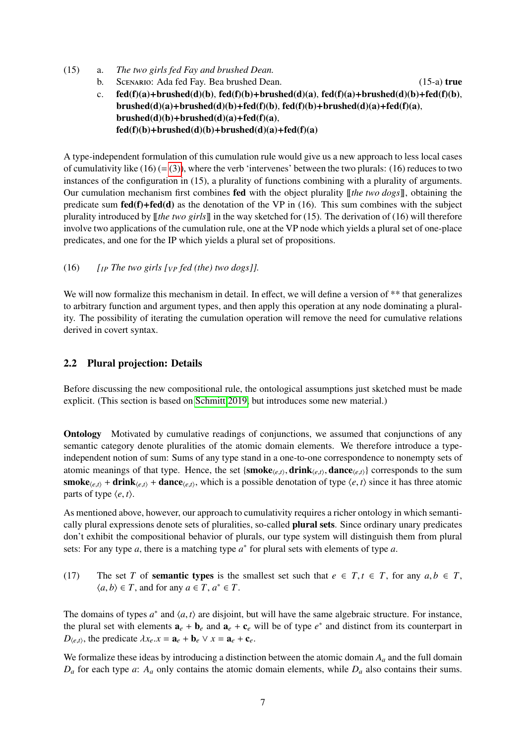- (15) a. *The two girls fed Fay and brushed Dean.*
	- b. Scenario: Ada fed Fay. Bea brushed Dean. (15-a) true

c.  $fed(f)(a)+brushed(d)(b), fed(f)(b)+brushed(d)(a), fed(f)(a)+brushed(d)(b)+fed(f)(b),$  $brushed(d)(a)+brushed(d)(b)+fed(f)(b), fed(f)(b)+brushed(d)(a)+fed(f)(a),$  $brushed(d)(b)+brushed(d)(a)+fed(f)(a),$  $fed(f)(b)+brushed(d)(b)+brushed(d)(a)+fed(f)(a)$ 

A type-independent formulation of this cumulation rule would give us a new approach to less local cases of cumulativity like  $(16) (= (3))$  $(16) (= (3))$ , where the verb 'intervenes' between the two plurals:  $(16)$  reduces to two instances of the configuration in (15), a plurality of functions combining with a plurality of arguments. Our cumulation mechanism first combines fed with the object plurality [[*the two dogs*]], obtaining the predicate sum  $\text{fed}(f) + \text{fed}(d)$  as the denotation of the VP in (16). This sum combines with the subject plurality introduced by [[*the two girls*]] in the way sketched for (15). The derivation of (16) will therefore involve two applications of the cumulation rule, one at the VP node which yields a plural set of one-place predicates, and one for the IP which yields a plural set of propositions.

(16) *[IP The two girls [VP fed (the) two dogs]].*

We will now formalize this mechanism in detail. In effect, we will define a version of \*\* that generalizes to arbitrary function and argument types, and then apply this operation at any node dominating a plurality. The possibility of iterating the cumulation operation will remove the need for cumulative relations derived in covert syntax.

### <span id="page-6-0"></span>2.2 Plural projection: Details

Before discussing the new compositional rule, the ontological assumptions just sketched must be made explicit. (This section is based on [Schmitt 2019,](#page-36-1) but introduces some new material.)

Ontology Motivated by cumulative readings of conjunctions, we assumed that conjunctions of any semantic category denote pluralities of the atomic domain elements. We therefore introduce a typeindependent notion of sum: Sums of any type stand in a one-to-one correspondence to nonempty sets of atomic meanings of that type. Hence, the set  $\{\textbf{smoke}_{(e,t)}, \textbf{drink}_{(e,t)}, \textbf{dance}_{(e,t)}\}$  corresponds to the sum<br>smake,  $x + \textbf{drink}_{(e,t)} + \textbf{dance}_{(e,t)}$  which is a possible denotation of type  $(e, t)$  since it has three atomic **smoke** $\langle e, t \rangle$  + **drink** $\langle e, t \rangle$  + **dance** $\langle e, t \rangle$ , which is a possible denotation of type  $\langle e, t \rangle$  since it has three atomic parts of type  $\langle e, t \rangle$ .

As mentioned above, however, our approach to cumulativity requires a richer ontology in which semantically plural expressions denote sets of pluralities, so-called plural sets. Since ordinary unary predicates don't exhibit the compositional behavior of plurals, our type system will distinguish them from plural sets: For any type  $a$ , there is a matching type  $a^*$  for plural sets with elements of type  $a$ .

(17) The set *T* of **semantic types** is the smallest set such that  $e \in T, t \in T$ , for any  $a, b \in T$ ,  $\langle a, b \rangle \in T$ , and for any  $a \in T$ ,  $a^* \in T$ .

The domains of types  $a^*$  and  $\langle a, t \rangle$  are disjoint, but will have the same algebraic structure. For instance, the plural set with elements  $a + b$ , and  $a + c$ , will be of type  $a^*$  and distinct from its counterpart in the plural set with elements  $\mathbf{a}_e + \mathbf{b}_e$  and  $\mathbf{a}_e + \mathbf{c}_e$  will be of type  $e^*$  and distinct from its counterpart in *D*<sub>(*e,t*)</sub>, the predicate  $\lambda x_e$ *.x* = **a**<sub>*e*</sub> + **b**<sub>*e*</sub>  $\vee$  *x* = **a**<sub>*e*</sub> + **c**<sub>*e*</sub>.

We formalize these ideas by introducing a distinction between the atomic domain *A<sup>a</sup>* and the full domain  $D_a$  for each type *a*:  $A_a$  only contains the atomic domain elements, while  $D_a$  also contains their sums.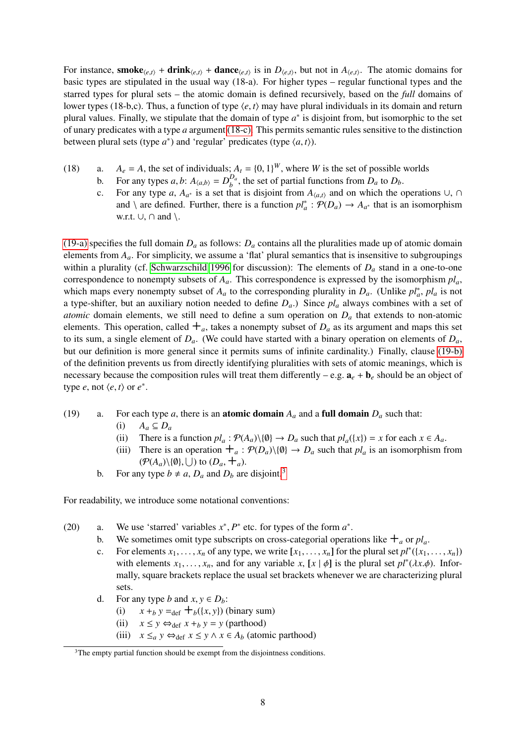For instance, **smoke**<sub> $\langle e,t \rangle$  + **drink** $\langle e,t \rangle$  + **dance** $\langle e,t \rangle$  is in  $D_{\langle e,t \rangle}$ , but not in  $A_{\langle e,t \rangle}$ . The atomic domains for</sub> basic types are stipulated in the usual way (18-a). For higher types – regular functional types and the starred types for plural sets – the atomic domain is defined recursively, based on the *full* domains of lower types (18-b,c). Thus, a function of type  $\langle e, t \rangle$  may have plural individuals in its domain and return plural values. Finally, we stipulate that the domain of type  $a^*$  is disjoint from, but isomorphic to the set of unary predicates with a type *a* argument [\(18-c\).](#page-7-0) This permits semantic rules sensitive to the distinction between plural sets (type  $a^*$ ) and 'regular' predicates (type  $\langle a, t \rangle$ ).

- <span id="page-7-0"></span>(18) a.  $A_e = A$ , the set of individuals;  $A_t = \{0, 1\}^W$ , where *W* is the set of possible worlds<br>by Equal types *a* by  $A_{k+1} = D^{D_a}$  the set of partial functions from *D* to *D*.
	- b. For any types *a*, *b*:  $A_{\langle a,b \rangle} = D_b^{D_a}$ <br>*c* = For any type *a*, *A*<sub>*b*</sub> is a set the  $b^{\mu_a}$ , the set of partial functions from  $D_a$  to  $D_b$ .
	- c. For any type *a*,  $A_{a^*}$  is a set that is disjoint from  $A_{\langle a,t \rangle}$  and on which the operations ∪, ∩ and  $\setminus$  are defined. Further, there is a function  $pl_a^* : \mathcal{P}(D_a) \to A_{a^*}$  that is an isomorphism w.r.t.  $\cup$ ,  $\cap$  and  $\setminus$ .

[\(19-a\)](#page-7-1) specifies the full domain  $D_a$  as follows:  $D_a$  contains all the pluralities made up of atomic domain elements from  $A_a$ . For simplicity, we assume a 'flat' plural semantics that is insensitive to subgroupings within a plurality (cf. [Schwarzschild 1996](#page-36-3) for discussion): The elements of *D<sup>a</sup>* stand in a one-to-one correspondence to nonempty subsets of  $A_a$ . This correspondence is expressed by the isomorphism  $pl_a$ , which maps every nonempty subset of  $A_a$  to the corresponding plurality in  $D_a$ . (Unlike  $pl_a^*$ ,  $pl_a$  is not a type-shifter, but an auxiliary notion needed to define  $D_a$ .) Since  $p_l$  always combines with a set of *atomic* domain elements, we still need to define a sum operation on  $D<sub>a</sub>$  that extends to non-atomic elements. This operation, called  $+$ <sub>*a*</sub>, takes a nonempty subset of  $D<sub>a</sub>$  as its argument and maps this set to its sum, a single element of  $D_a$ . (We could have started with a binary operation on elements of  $D_a$ , but our definition is more general since it permits sums of infinite cardinality.) Finally, clause [\(19-b\)](#page-7-2) of the definition prevents us from directly identifying pluralities with sets of atomic meanings, which is necessary because the composition rules will treat them differently – e.g.  $\mathbf{a}_e + \mathbf{b}_e$  should be an object of type *e*, not  $\langle e, t \rangle$  or  $e^*$ .

- <span id="page-7-1"></span>(19) a. For each type *a*, there is an **atomic domain**  $A_a$  and a **full domain**  $D_a$  such that:
	- (i)  $A_a \subseteq D_a$
	- (ii) There is a function  $pl_a$ :  $\mathcal{P}(A_a) \setminus \{0\} \to D_a$  such that  $pl_a(\{x\}) = x$  for each  $x \in A_a$ .
	- (iii) There is an operation  $+_{a}: \mathcal{P}(D_{a})\setminus\{\emptyset\} \to D_{a}$  such that  $pl_{a}$  is an isomorphism from  $(\mathcal{P}(A_a)\setminus\{0\}, \bigcup)$  to  $(D_a, \mathbf{H}_a)$ .
	- b. For any type  $b \neq a$ ,  $D_a$  and  $D_b$  are disjoint.<sup>[3](#page-7-3)</sup>

<span id="page-7-2"></span>For readability, we introduce some notational conventions:

- (20) a. We use 'starred' variables  $x^*$ ,  $P^*$  etc. for types of the form  $a^*$ .
	- b. We sometimes omit type subscripts on cross-categorial operations like  $+$ <sub>*a*</sub> or  $pl_a$ .
	- c. For elements  $x_1, \ldots, x_n$  of any type, we write  $[x_1, \ldots, x_n]$  for the plural set  $pl^*(\lbrace x_1, \ldots, x_n \rbrace)$ <br>with elements  $x_1, \ldots, x_n$  and for any variable  $x \leq r \cdot l \cdot \phi$  is the plural set  $pl^*(\lbrace x_1, \ldots, x_n \rbrace)$ with elements  $x_1, \ldots, x_n$ , and for any variable  $x$ ,  $[x | \phi]$  is the plural set  $pl^*(\lambda x.\phi)$ . Infor-<br>mally square brackets replace the usual set brackets whenever we are characterizing plural mally, square brackets replace the usual set brackets whenever we are characterizing plural sets.
	- d. For any type *b* and  $x, y \in D_b$ :<br>(i)  $x +_b y =_{def} +_b (\{x, y\})$ 
		- $x + b$  *y* =def  $\pm b$ ({*x*, *y*}) (binary sum)
		- (ii)  $x \leq y \Leftrightarrow_{def} x +_b y = y$  (parthood)
		- (iii)  $x \leq_a y \Leftrightarrow_{def} x \leq y \land x \in A_b$  (atomic parthood)

<span id="page-7-3"></span> $3$ The empty partial function should be exempt from the disjointness conditions.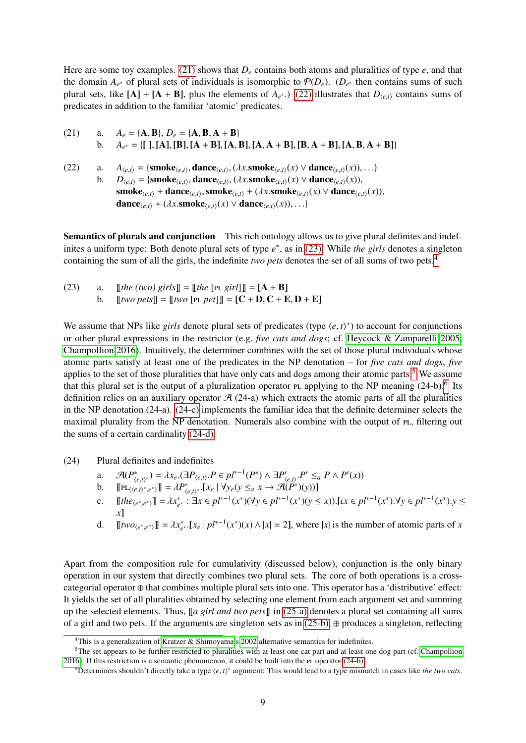Here are some toy examples. [\(21\)](#page-8-0) shows that *D<sup>e</sup>* contains both atoms and pluralities of type *e*, and that the domain  $A_{e^*}$  of plural sets of individuals is isomorphic to  $\mathcal{P}(D_e)$ . ( $D_{e^*}$  then contains sums of such plural sets, like  $[A] + [A + B]$ , plus the elements of  $A_{e^*}$ .) [\(22\)](#page-8-1) illustrates that  $D_{\langle e,t \rangle}$  contains sums of products in addition to the familiar istemia' products. predicates in addition to the familiar 'atomic' predicates.

<span id="page-8-1"></span><span id="page-8-0"></span>(21) a. 
$$
A_e = \{A, B\}, D_e = \{A, B, A + B\}
$$
  
b.  $A_{e^*} = \{[], [A], [B], [A + B], [A, B], [A, A + B], [B, A + B], [A, B, A + B]\}$ 

(22) a. 
$$
A_{\langle e,t \rangle} = \{\operatorname{smoke}_{\langle e,t \rangle}, \operatorname{dance}_{\langle e,t \rangle}, (\lambda x.\operatorname{smoke}_{\langle e,t \rangle}(x) \vee \operatorname{dance}_{\langle e,t \rangle}(x)), \ldots\}
$$
  
b.  $D_{\langle e,t \rangle} = \{\operatorname{smoke}_{\langle e,t \rangle}, \operatorname{dance}_{\langle e,t \rangle}, (\lambda x.\operatorname{smoke}_{\langle e,t \rangle}(x) \vee \operatorname{dance}_{\langle e,t \rangle}(x)),\$   
\nsmoke <sub>$\langle e,t \rangle$</sub>  +  $\operatorname{dance}_{\langle e,t \rangle}$ , smoke <sub>$\langle e,t \rangle$</sub>  +  $(\lambda x.\operatorname{smoke}_{\langle e,t \rangle}(x) \vee \operatorname{dance}_{\langle e,t \rangle}(x)), \ldots\}$   
\n $\operatorname{dance}_{\langle e,t \rangle}$  +  $(\lambda x.\operatorname{smoke}_{\langle e,t \rangle}(x) \vee \operatorname{dance}_{\langle e,t \rangle}(x)), \ldots\}$ 

Semantics of plurals and conjunction This rich ontology allows us to give plural definites and indefinites a uniform type: Both denote plural sets of type *e* ∗ , as in [\(23\).](#page-8-2) While *the girls* denotes a singleton containing the sum of all the girls, the indefinite *two pets* denotes the set of all sums of two pets.[4](#page-8-3)

<span id="page-8-2"></span>(23) a. 
$$
\llbracket \text{the (two) girls} \rrbracket = \llbracket \text{the [PL girl]} \rrbracket = [A + B]
$$
  
b. 
$$
\llbracket \text{two pets} \rrbracket = \llbracket \text{two [PL pet]} \rrbracket = [C + D, C + E, D + E]
$$

We assume that NPs like *girls* denote plural sets of predicates (type  $\langle e, t \rangle^*$ ) to account for conjunctions<br>or other plural expressions in the restrictor (e.g. *five cats and dogs*; of Heycock & Zamparelli 2005 or other plural expressions in the restrictor (e.g. *five cats and dogs*; cf. [Heycock & Zamparelli 2005,](#page-34-4) [Champollion 2016\)](#page-34-5). Intuitively, the determiner combines with the set of those plural individuals whose atomic parts satisfy at least one of the predicates in the NP denotation – for *five cats and dogs*, *five* applies to the set of those pluralities that have only cats and dogs among their atomic parts.<sup>[5](#page-8-4)</sup> We assume that this plural set is the output of a pluralization operator  $PL$  applying to the NP meaning  $(24-b)$ .<sup>[6](#page-8-5)</sup> Its definition relies on an auxiliary operator  $\mathcal{A}$  (24-a) which extracts the atomic parts of all the pluralities in the NP denotation (24-a). [\(24-c\)](#page-8-6) implements the familiar idea that the definite determiner selects the maximal plurality from the NP denotation. Numerals also combine with the output of PL, filtering out the sums of a certain cardinality [\(24-d\).](#page-8-7)

<span id="page-8-9"></span><span id="page-8-8"></span>(24) Plural definites and indefinites

- a.  $\mathcal{A}(P^*_{\langle e,t\rangle^*}) = \lambda x_e \cdot (\exists P_{\langle e,t\rangle} \cdot P \in pl^{*-1}(P^*) \land \exists P'_{\langle e,t\rangle} \cdot P' \leq_a P \land P'(x))$ <br> **h** [[*PL*(*t*, *t*)\*, \*)] =  $\lambda P^*$  [*x*, |  $\forall y, (y \leq a, x \rightarrow \mathcal{A}(P^*)(y))]$ ]
- b.  $[\![\text{PL}_{\langle\langle e,t\rangle^*,e^*\rangle}]\!] = \lambda P_{\langle e,t\rangle^*}^* \cdot [x_e \mid \forall y_e(y \leq_a x \rightarrow \mathcal{A}(P^*)(y))]$
- <span id="page-8-6"></span>c.  $[\![the_{\langle e^*,e^*\rangle}]\!] = \lambda x_{e^*}^* : \exists x \in pl^{*-1}(x^*)(\forall y \in pl^{*-1}(x^*)(y \leq x)). [\![tx \in pl^{*-1}(x^*) \cdot \forall y \in pl^{*-1}(x^*)\cdot \forall y \in pl^{*-1}(x^*)\cdot \forall y \in pl^{*-1}(x^*)\cdot \forall y \in pl^{*-1}(x^*)\cdot \forall y \in pl^{*-1}(x^*)\cdot \forall y \in pl^{*-1}(x^*)\cdot \forall y \in pl^{*-1}(x^*)\cdot \forall y \in pl^{*-1}(x^*)\cdot \forall y \in pl^{*-1}(x^*)\cdot \forall y \in pl^{$ *x*]
- <span id="page-8-7"></span>d.  $[[two_{\langle e^*, e^* \rangle}]] = \lambda x_{e^*}^* \cdot [x_e \mid pl^{*-1}(x^*)(x) \wedge |x| = 2]$ , where |*x*| is the number of atomic parts of *x*

Apart from the composition rule for cumulativity (discussed below), conjunction is the only binary operation in our system that directly combines two plural sets. The core of both operations is a crosscategorial operator ⊕ that combines multiple plural sets into one. This operator has a 'distributive' effect: It yields the set of all pluralities obtained by selecting one element from each argument set and summing up the selected elements. Thus,  $\lbrack \lbrack a \rbrack \rbrack$  *and two pets* $\lbrack \rbrack$  in [\(25-a\)](#page-9-0) denotes a plural set containing all sums of a girl and two pets. If the arguments are singleton sets as in  $(25-b)$ ,  $\oplus$  produces a singleton, reflecting

<span id="page-8-4"></span><span id="page-8-3"></span><sup>&</sup>lt;sup>4</sup>This is a generalization of [Kratzer & Shimoyama'](#page-35-4)s [2002](#page-35-4) alternative semantics for indefinites.

<sup>&</sup>lt;sup>5</sup>The set appears to be further restricted to pluralities with at least one cat part and at least one dog part (cf. [Champollion](#page-34-5)  $2016$ ). If this restriction is a semantic phenomenon, it could be built into the PL operator  $(24-b)$ .

<span id="page-8-5"></span><sup>&</sup>lt;sup>6</sup>Determiners shouldn't directly take a type  $\langle e, t \rangle^*$  argument: This would lead to a type mismatch in cases like *the two cats*.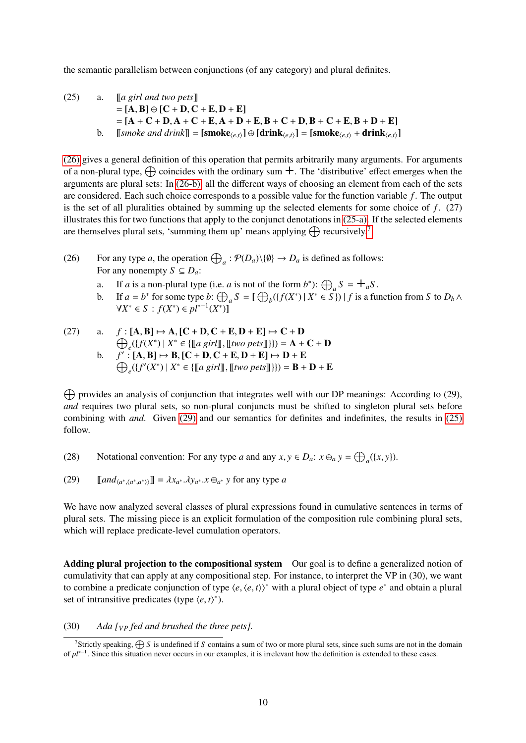<span id="page-9-6"></span>the semantic parallelism between conjunctions (of any category) and plural definites.

<span id="page-9-0"></span>(25) a. 
$$
\begin{aligned}\n &\text{[a girl and two pets]} \\
 &= [\mathbf{A}, \mathbf{B}] \oplus [\mathbf{C} + \mathbf{D}, \mathbf{C} + \mathbf{E}, \mathbf{D} + \mathbf{E}] \\
 &= [\mathbf{A} + \mathbf{C} + \mathbf{D}, \mathbf{A} + \mathbf{C} + \mathbf{E}, \mathbf{A} + \mathbf{D} + \mathbf{E}, \mathbf{B} + \mathbf{C} + \mathbf{D}, \mathbf{B} + \mathbf{C} + \mathbf{E}, \mathbf{B} + \mathbf{D} + \mathbf{E}] \\
 &\text{b. [smoke and drink]]} = [\mathbf{smoke}_{\langle e,t\rangle}] \oplus [\mathbf{drink}_{\langle e,t\rangle}] = [\mathbf{smoke}_{\langle e,t\rangle} + \mathbf{drink}_{\langle e,t\rangle}]\n \end{aligned}
$$

<span id="page-9-1"></span>[\(26\)](#page-9-2) gives a general definition of this operation that permits arbitrarily many arguments. For arguments of a non-plural type,  $\oplus$  coincides with the ordinary sum  $+$ . The 'distributive' effect emerges when the arguments are plural sets: In [\(26-b\),](#page-9-3) all the different ways of choosing an element from each of the sets are considered. Each such choice corresponds to a possible value for the function variable *f* . The output is the set of all pluralities obtained by summing up the selected elements for some choice of *f* . (27) illustrates this for two functions that apply to the conjunct denotations in [\(25-a\).](#page-9-0) If the selected elements are themselves plural sets, 'summing them up' means applying  $\bigoplus$  recursively.<sup>[7](#page-9-4)</sup>

- <span id="page-9-2"></span>(26) For any type *a*, the operation  $\bigoplus_a : \mathcal{P}(D_a) \setminus \{0\} \to D_a$  is defined as follows: For any nonempty  $S \subseteq D_a$ :
	- a. If *a* is a non-plural type (i.e. *a* is not of the form *b*<sup>\*</sup>):  $\bigoplus_{a} S = \bigoplus_{a} S$ .
	- b. If  $a = b^*$  for some type  $b: \bigoplus_a S = [\bigoplus_b (\{f(X^*) \mid X^* \in S\}) \mid f$  is a function from *S* to  $D_b \wedge$  $\forall X^* \in S : f(X^*) \in pl^{*-1}(X^*)$

<span id="page-9-3"></span>(27) a. 
$$
f: [\mathbf{A}, \mathbf{B}] \mapsto \mathbf{A}, [\mathbf{C} + \mathbf{D}, \mathbf{C} + \mathbf{E}, \mathbf{D} + \mathbf{E}] \mapsto \mathbf{C} + \mathbf{D}
$$
  
\n $\bigoplus_{e} (\{f(X^*) \mid X^* \in \{\llbracket a \text{ girl} \rrbracket, \llbracket \text{two pets} \rrbracket\}\}) = \mathbf{A} + \mathbf{C} + \mathbf{D}$   
\nb.  $f' : [\mathbf{A}, \mathbf{B}] \mapsto \mathbf{B}, [\mathbf{C} + \mathbf{D}, \mathbf{C} + \mathbf{E}, \mathbf{D} + \mathbf{E}] \mapsto \mathbf{D} + \mathbf{E}$   
\n $\bigoplus_{e} (\{f'(X^*) \mid X^* \in \{\llbracket a \text{ girl} \rrbracket, \llbracket \text{two pets} \rrbracket\}\}) = \mathbf{B} + \mathbf{D} + \mathbf{E}$ 

 $\bigoplus$  provides an analysis of conjunction that integrates well with our DP meanings: According to (29), *and* requires two plural sets, so non-plural conjuncts must be shifted to singleton plural sets before combining with *and*. Given [\(29\)](#page-9-5) and our semantics for definites and indefinites, the results in [\(25\)](#page-9-6) follow.

<span id="page-9-5"></span>(28) Notational convention: For any type *a* and any  $x, y \in D_a$ :  $x \oplus_a y = \bigoplus_a (\{x, y\})$ .

(29) 
$$
[and_{\langle a^*,\langle a^*,a^*\rangle\rangle}] = \lambda x_{a^*}.\lambda y_{a^*}.\mathbf{x} \oplus_{a^*} \mathbf{y} \text{ for any type } a
$$

We have now analyzed several classes of plural expressions found in cumulative sentences in terms of plural sets. The missing piece is an explicit formulation of the composition rule combining plural sets, which will replace predicate-level cumulation operators.

Adding plural projection to the compositional system Our goal is to define a generalized notion of cumulativity that can apply at any compositional step. For instance, to interpret the VP in (30), we want to combine a predicate conjunction of type  $\langle e, \langle e, t \rangle \rangle^*$  with a plural object of type  $e^*$  and obtain a plural set of intransitive predicates (type  $\langle e, t \rangle^*$ ) set of intransitive predicates (type  $\langle e, t \rangle^*$ ).

<span id="page-9-7"></span>(30) *Ada [VP fed and brushed the three pets].*

<span id="page-9-4"></span><sup>&</sup>lt;sup>7</sup>Strictly speaking,  $\bigoplus S$  is undefined if *S* contains a sum of two or more plural sets, since such sums are not in the domain of  $pt^{*−1}$ . Since this situation never occurs in our examples, it is irrelevant how the definition is extended to these cases.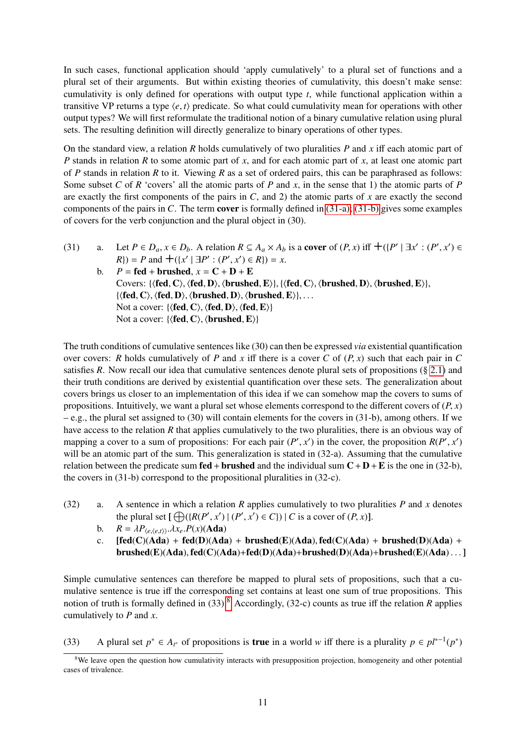In such cases, functional application should 'apply cumulatively' to a plural set of functions and a plural set of their arguments. But within existing theories of cumulativity, this doesn't make sense: cumulativity is only defined for operations with output type *t*, while functional application within a transitive VP returns a type  $\langle e, t \rangle$  predicate. So what could cumulativity mean for operations with other output types? We will first reformulate the traditional notion of a binary cumulative relation using plural sets. The resulting definition will directly generalize to binary operations of other types.

On the standard view, a relation *R* holds cumulatively of two pluralities *P* and *x* iff each atomic part of *P* stands in relation *R* to some atomic part of *x*, and for each atomic part of *x*, at least one atomic part of *P* stands in relation *R* to it. Viewing *R* as a set of ordered pairs, this can be paraphrased as follows: Some subset *C* of *R* 'covers' all the atomic parts of *P* and *x*, in the sense that 1) the atomic parts of *P* are exactly the first components of the pairs in *C*, and 2) the atomic parts of *x* are exactly the second components of the pairs in *C*. The term cover is formally defined in [\(31-a\);](#page-10-0) [\(31-b\)](#page-10-1) gives some examples of covers for the verb conjunction and the plural object in (30).

- <span id="page-10-1"></span><span id="page-10-0"></span>(31) a. Let  $P \in D_a$ ,  $x \in D_b$ . A relation  $R \subseteq A_a \times A_b$  is a cover of  $(P, x)$  iff  $\pm (P' | \exists x' : (P', x') \in B)$ <br> $P) = P$  and  $\pm ((x' | \exists P' \cdot (P', x') \in B)) = x$  $R$ ) = *P* and  $+(x^{'} | \exists P' : (P', x') \in R)$  = *x*.<br>  $P - \text{fed} + \text{brushed } x - C + D + F$ 
	- b.  $P = \text{fed} + \text{brushed}, x = \text{C} + \text{D} + \text{E}$ Covers: { $\{fed, C\}, \{fed, D\}, \{brushed, E\}, \{ \{fed, C\}, \{brushed, D\}, \{brushed, E\} \},$  $\{\langle fed, C \rangle, \langle fed, D \rangle, \langle brushed, D \rangle, \langle brushed, E \rangle\}, \ldots$ Not a cover:  $\{ \langle \text{fed}, C \rangle, \langle \text{fed}, D \rangle, \langle \text{fed}, E \rangle \}$ Not a cover:  $\{ \langle \text{fed}, C \rangle, \langle \text{brushed}, E \rangle \}$

The truth conditions of cumulative sentences like (30) can then be expressed *via* existential quantification over covers: *R* holds cumulatively of *P* and *x* iff there is a cover *C* of  $(P, x)$  such that each pair in *C* satisfies *R*. Now recall our idea that cumulative sentences denote plural sets of propositions  $(\S 2.1)$  $(\S 2.1)$  and their truth conditions are derived by existential quantification over these sets. The generalization about covers brings us closer to an implementation of this idea if we can somehow map the covers to sums of propositions. Intuitively, we want a plural set whose elements correspond to the different covers of  $(P, x)$ – e.g., the plural set assigned to (30) will contain elements for the covers in (31-b), among others. If we have access to the relation *R* that applies cumulatively to the two pluralities, there is an obvious way of mapping a cover to a sum of propositions: For each pair  $(P', x')$  in the cover, the proposition  $R(P', x')$ <br>will be an atomic part of the sum. This generalization is stated in (32-a). Assuming that the cumulative will be an atomic part of the sum. This generalization is stated in  $(32-a)$ . Assuming that the cumulative relation between the predicate sum **fed** + **brushed** and the individual sum  $C + D + E$  is the one in (32-b), the covers in (31-b) correspond to the propositional pluralities in (32-c).

- <span id="page-10-5"></span><span id="page-10-4"></span><span id="page-10-3"></span>(32) a. A sentence in which a relation *R* applies cumulatively to two pluralities *P* and *x* denotes the plural set  $[\bigoplus ({R(P', x') | (P', x') \in C}) \mid C$  is a cover of  $(P, x)$ ].<br> $P = \frac{1}{P}$ 
	- b.  $R = \lambda P_{\langle e, \langle e, t \rangle \rangle} \cdot \lambda x_e P(x) (A da)$ <br>c. **[fed(C)(Ada)** + **fed(D)(Ada**
	- $[fed(C)(Ada) + fed(D)(Ada) + brushed(E)(Ada), fed(C)(Ada) + brushed(D)(Ada) +$  $brushed(E)(Ada), fed(C)(Ada)+fed(D)(Ada)+brushed(D)(Ada)+brushed(E)(Ada)...]$

Simple cumulative sentences can therefore be mapped to plural sets of propositions, such that a cumulative sentence is true iff the corresponding set contains at least one sum of true propositions. This notion of truth is formally defined in (33).[8](#page-10-2) Accordingly, (32-c) counts as true iff the relation *R* applies cumulatively to *P* and *x*.

<span id="page-10-6"></span>(33) A plural set  $p^* \in A_{t^*}$  of propositions is **true** in a world *w* iff there is a plurality  $p \in pl^{*-1}(p^*)$ 

<span id="page-10-2"></span><sup>&</sup>lt;sup>8</sup>We leave open the question how cumulativity interacts with presupposition projection, homogeneity and other potential cases of trivalence.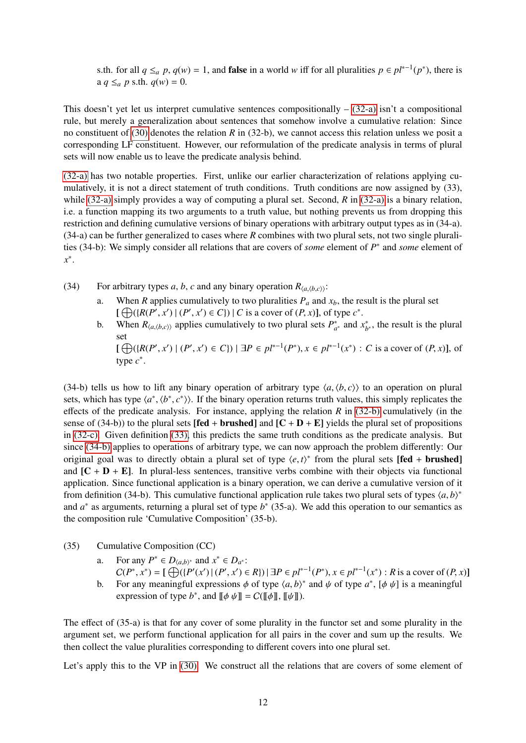s.th. for all  $q \leq_a p$ ,  $q(w) = 1$ , and **false** in a world *w* iff for all pluralities  $p \in pl^{*-1}(p^*)$ , there is a  $q \leq_a p$  s.th.  $q(w) = 0$ .

This doesn't yet let us interpret cumulative sentences compositionally  $-$  [\(32-a\)](#page-10-3) isn't a compositional rule, but merely a generalization about sentences that somehow involve a cumulative relation: Since no constituent of [\(30\)](#page-9-7) denotes the relation *R* in (32-b), we cannot access this relation unless we posit a corresponding LF constituent. However, our reformulation of the predicate analysis in terms of plural sets will now enable us to leave the predicate analysis behind.

[\(32-a\)](#page-10-3) has two notable properties. First, unlike our earlier characterization of relations applying cumulatively, it is not a direct statement of truth conditions. Truth conditions are now assigned by (33), while [\(32-a\)](#page-10-3) simply provides a way of computing a plural set. Second, *R* in [\(32-a\)](#page-10-3) is a binary relation, i.e. a function mapping its two arguments to a truth value, but nothing prevents us from dropping this restriction and defining cumulative versions of binary operations with arbitrary output types as in (34-a). (34-a) can be further generalized to cases where *R* combines with two plural sets, not two single pluralities (34-b): We simply consider all relations that are covers of *some* element of *P* ∗ and *some* element of *x* ∗ .

- <span id="page-11-0"></span>(34) For arbitrary types *a*, *b*, *c* and any binary operation  $R_{\langle a, \langle b, c \rangle}$ :<br>a. When *R* applies cumulatively to two pluralities  $P_a$  and
	- When *R* applies cumulatively to two pluralities  $P_a$  and  $x_b$ , the result is the plural set  $[\bigoplus (\{R(P', x') | (P', x') \in C\}) \mid C \text{ is a cover of } (P, x)], \text{ of type } c^*.$ <br>When  $R_{k-1}$  is a problem cumulatively to two plural sets  $P^*$  and a
	- b. When  $R_{\langle a,\langle b,c\rangle\rangle}$  applies cumulatively to two plural sets  $P_{a^*}^*$  and  $x_b^*$  $\phi_{b^*}^*$ , the result is the plural set

 $[\bigoplus_{x \in \mathbb{R}^n} (\{R(P', x') \mid (P', x') \in C\}) \mid \exists P \in pl^{*-1}(P^*), x \in pl^{*-1}(x^*) : C \text{ is a cover of } (P, x)], \text{ of }$ type *c* ∗ .

(34-b) tells us how to lift any binary operation of arbitrary type  $\langle a, \langle b, c \rangle$  to an operation on plural sets, which has type  $\langle a^*, \langle b^*, c^* \rangle$ . If the binary operation returns truth values, this simply replicates the effects of the predicate analysis. For instance, applying the relation  $R$  in [\(32-b\)](#page-10-4) cumulatively (in the sense of (34-b)) to the plural sets [fed + brushed] and  $[C + D + E]$  yields the plural set of propositions in [\(32-c\).](#page-10-5) Given definition [\(33\),](#page-10-6) this predicts the same truth conditions as the predicate analysis. But since [\(34-b\)](#page-11-0) applies to operations of arbitrary type, we can now approach the problem differently: Our original goal was to directly obtain a plural set of type  $\langle e, t \rangle^*$  from the plural sets [fed + brushed]<br>and  $[ C + D + F ]$ . In plural less sentences, transitive verbs combine with their objects via functional and  $[C + D + E]$ . In plural-less sentences, transitive verbs combine with their objects via functional application. Since functional application is a binary operation, we can derive a cumulative version of it from definition (34-b). This cumulative functional application rule takes two plural sets of types  $\langle a, b \rangle^*$ <br>and  $a^*$  as arguments, returning a plural set of type  $b^*$  (35.a). We add this operation to our semantics as and  $a^*$  as arguments, returning a plural set of type  $b^*$  (35-a). We add this operation to our semantics as the composition rule 'Cumulative Composition' (35-b).

- (35) Cumulative Composition (CC)
	- a. For any  $P^* \in D_{\langle a,b \rangle^*}$  and  $x^* \in D_{a^*}:$ <br>  $C(P^* \to^*) = \cup \bigcap_{a,b,c} (P^a(x)) + (P^a(x))$

 $C(P^*, x^*) = [\bigoplus_{i}([P'(x')|(P', x') \in R]) \, \exists P \in pl^{*-1}(P^*), x \in pl^{*-1}(x^*) : R \text{ is a cover of } (P, x)]$ <br>For any meaningful expressions  $\phi$  of type  $\langle a, b \rangle^*$  and  $\psi$  of type  $a^*$ . Let  $\psi$  is a meaningful b. For any meaningful expressions  $\phi$  of type  $\langle a, b \rangle^*$  and  $\psi$  of type  $a^*$ ,  $[\phi \psi]$  is a meaningful<br>expression of type  $b^*$ , and  $[\phi \psi] = C([\phi \psi]]$ 

expression of type  $b^*$ , and  $[\![\phi \psi]\!] = C([\![\phi]\!], [\![\psi]\!]).$ 

The effect of (35-a) is that for any cover of some plurality in the functor set and some plurality in the argument set, we perform functional application for all pairs in the cover and sum up the results. We then collect the value pluralities corresponding to different covers into one plural set.

Let's apply this to the VP in [\(30\).](#page-9-7) We construct all the relations that are covers of some element of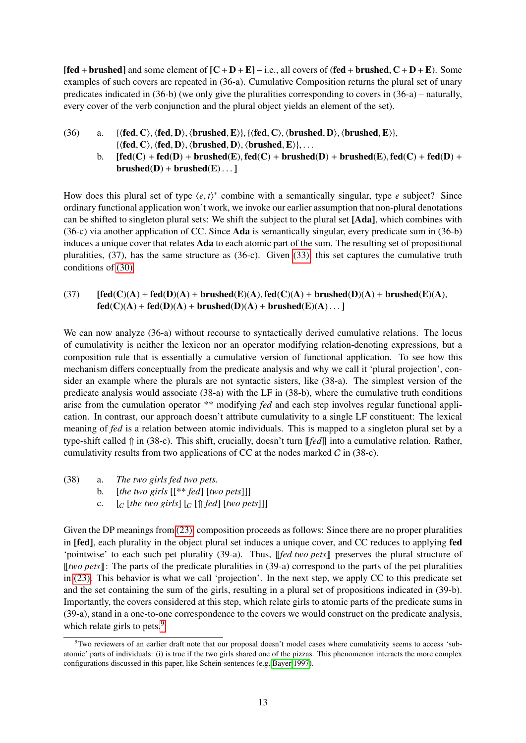$[\text{fed} + \text{brushed}]$  and some element of  $[C + D + E] - i.e.,$  all covers of  $(\text{fed} + \text{brushed}, C + D + E)$ . Some examples of such covers are repeated in (36-a). Cumulative Composition returns the plural set of unary predicates indicated in (36-b) (we only give the pluralities corresponding to covers in (36-a) – naturally, every cover of the verb conjunction and the plural object yields an element of the set).

- (36) a.  $\{ \langle \text{fed}, C \rangle, \langle \text{fed}, D \rangle, \langle \text{brushed}, E \rangle \}, \{ \langle \text{fed}, C \rangle, \langle \text{brushed}, D \rangle, \langle \text{brushed}, E \rangle \},$  $\{\langle fed, C\rangle, \langle fed, D\rangle, \langle brushed, D\rangle, \langle brushed, E\rangle\}, \ldots$ 
	- b.  $[fed(C) + fed(D) + brushed(E), fed(C) + brushed(D) + brushed(E), fed(C) + fed(D) +$  $brushed(D) + brushed(E) \dots$

How does this plural set of type  $\langle e, t \rangle^*$  combine with a semantically singular, type *e* subject? Since ordinary functional application won't work, we invoke our earlier assumption that non-plural denotations ordinary functional application won't work, we invoke our earlier assumption that non-plural denotations can be shifted to singleton plural sets: We shift the subject to the plural set [Ada], which combines with (36-c) via another application of CC. Since Ada is semantically singular, every predicate sum in (36-b) induces a unique cover that relates **Ada** to each atomic part of the sum. The resulting set of propositional pluralities, (37), has the same structure as (36-c). Given [\(33\),](#page-10-6) this set captures the cumulative truth conditions of [\(30\).](#page-9-7)

(37)  $[fed(C)(A) + fed(D)(A) + brushed(E)(A), fed(C)(A) + brushed(D)(A) + brushed(E)(A),$  $fed(C)(A) + fed(D)(A) + brushed(D)(A) + brushed(E)(A) ...$ 

We can now analyze (36-a) without recourse to syntactically derived cumulative relations. The locus of cumulativity is neither the lexicon nor an operator modifying relation-denoting expressions, but a composition rule that is essentially a cumulative version of functional application. To see how this mechanism differs conceptually from the predicate analysis and why we call it 'plural projection', consider an example where the plurals are not syntactic sisters, like (38-a). The simplest version of the predicate analysis would associate (38-a) with the LF in (38-b), where the cumulative truth conditions arise from the cumulation operator \*\* modifying *fed* and each step involves regular functional application. In contrast, our approach doesn't attribute cumulativity to a single LF constituent: The lexical meaning of *fed* is a relation between atomic individuals. This is mapped to a singleton plural set by a type-shift called ⇑ in (38-c). This shift, crucially, doesn't turn [[*fed*]] into a cumulative relation. Rather, cumulativity results from two applications of CC at the nodes marked  $C$  in (38-c).

- (38) a. *The two girls fed two pets.*
	- b. [*the two girls* [[\*\* *fed*] [*two pets*]]]
	- c.  $\left[ c \right]$  [*the two girls*]  $\left[ c \right]$  [ $\uparrow$  *fed*] [*two pets*]]]

Given the DP meanings from [\(23\),](#page-8-2) composition proceeds as follows: Since there are no proper pluralities in [fed], each plurality in the object plural set induces a unique cover, and CC reduces to applying fed 'pointwise' to each such pet plurality (39-a). Thus, [[*fed two pets*]] preserves the plural structure of [[*two pets*]]: The parts of the predicate pluralities in (39-a) correspond to the parts of the pet pluralities in [\(23\).](#page-8-2) This behavior is what we call 'projection'. In the next step, we apply CC to this predicate set and the set containing the sum of the girls, resulting in a plural set of propositions indicated in (39-b). Importantly, the covers considered at this step, which relate girls to atomic parts of the predicate sums in (39-a), stand in a one-to-one correspondence to the covers we would construct on the predicate analysis, which relate girls to pets.<sup>[9](#page-12-0)</sup>

<span id="page-12-0"></span><sup>9</sup>Two reviewers of an earlier draft note that our proposal doesn't model cases where cumulativity seems to access 'subatomic' parts of individuals: (i) is true if the two girls shared one of the pizzas. This phenomenon interacts the more complex configurations discussed in this paper, like Schein-sentences (e.g.[,Bayer 1997\)](#page-33-1).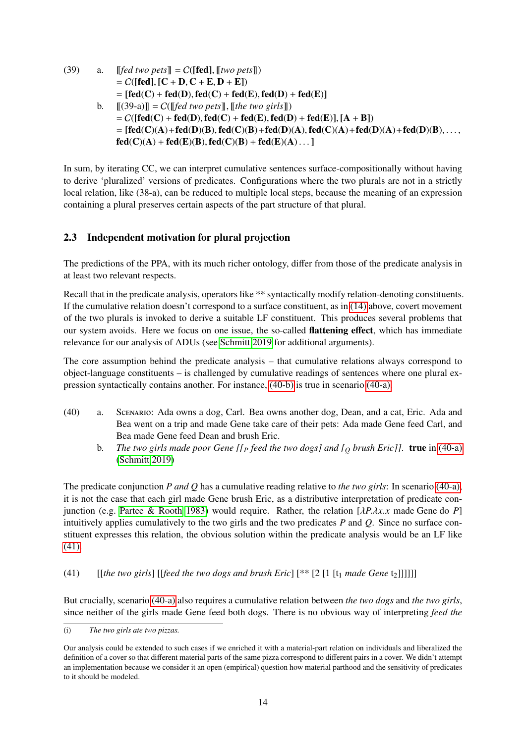(39) a. 
$$
\begin{aligned}\n&\text{[fed two pets]} = C(\text{[fed]}, \text{[[two pets]])} \\
&= C(\text{[fed]}, \text{[C + D, C + E, D + E]}) \\
&= \text{[fed(C)} + \text{fed(D)}, \text{fed(C)} + \text{fed}(E), \text{fed}(D) + \text{fed}(E)\n\end{aligned}
$$
\nb. 
$$
\begin{aligned}\n&\text{[[(39-a)]]} = C(\text{[[fed two pets]}, \text{[[the two girls])} \\
&= C(\text{[fed(C)} + \text{fed}(D), \text{fed}(C) + \text{fed}(E), \text{fed}(D) + \text{fed}(E)\n\end{aligned}
$$
\n
$$
= \text{[fed(C)(A)} + \text{fed}(D)(B), \text{fed}(C)(B) + \text{fed}(D)(A), \text{fed}(C)(A) + \text{fed}(D)(A) + \text{fed}(D)(B), \dots, \text{fed}(C)(A) + \text{fed}(E)(B), \text{fed}(C)(B) + \text{fed}(E)(A) \dots]\n\end{aligned}
$$

In sum, by iterating CC, we can interpret cumulative sentences surface-compositionally without having to derive 'pluralized' versions of predicates. Configurations where the two plurals are not in a strictly local relation, like (38-a), can be reduced to multiple local steps, because the meaning of an expression containing a plural preserves certain aspects of the part structure of that plural.

## <span id="page-13-0"></span>2.3 Independent motivation for plural projection

The predictions of the PPA, with its much richer ontology, differ from those of the predicate analysis in at least two relevant respects.

Recall that in the predicate analysis, operators like \*\* syntactically modify relation-denoting constituents. If the cumulative relation doesn't correspond to a surface constituent, as in [\(14\)](#page-5-0) above, covert movement of the two plurals is invoked to derive a suitable LF constituent. This produces several problems that our system avoids. Here we focus on one issue, the so-called flattening effect, which has immediate relevance for our analysis of ADUs (see [Schmitt 2019](#page-36-1) for additional arguments).

The core assumption behind the predicate analysis – that cumulative relations always correspond to object-language constituents – is challenged by cumulative readings of sentences where one plural expression syntactically contains another. For instance, [\(40-b\)](#page-13-1) is true in scenario [\(40-a\).](#page-13-2)

- <span id="page-13-2"></span><span id="page-13-1"></span>(40) a. Scenario: Ada owns a dog, Carl. Bea owns another dog, Dean, and a cat, Eric. Ada and Bea went on a trip and made Gene take care of their pets: Ada made Gene feed Carl, and Bea made Gene feed Dean and brush Eric.
	- b. *The two girls made poor Gene [[<sup>P</sup> feed the two dogs] and [<sup>Q</sup> brush Eric]]*. true in [\(40-a\)](#page-13-2) [\(Schmitt 2019\)](#page-36-1)

The predicate conjunction *P and Q* has a cumulative reading relative to *the two girls*: In scenario [\(40-a\),](#page-13-2) it is not the case that each girl made Gene brush Eric, as a distributive interpretation of predicate conjunction (e.g. [Partee & Rooth 1983\)](#page-35-8) would require. Rather, the relation [λ*P*.λ*x*.*<sup>x</sup>* made Gene do *<sup>P</sup>*] intuitively applies cumulatively to the two girls and the two predicates *P* and *Q*. Since no surface constituent expresses this relation, the obvious solution within the predicate analysis would be an LF like [\(41\).](#page-13-3)

<span id="page-13-3"></span>(41) [[the two girls] [[feed the two dogs and brush Eric] 
$$
[**[2[1[t_1 \text{ made Gene t_2]]]]]
$$
]

But crucially, scenario [\(40-a\)](#page-13-2) also requires a cumulative relation between *the two dogs* and *the two girls*, since neither of the girls made Gene feed both dogs. There is no obvious way of interpreting *feed the*

<sup>(</sup>i) *The two girls ate two pizzas.*

Our analysis could be extended to such cases if we enriched it with a material-part relation on individuals and liberalized the definition of a cover so that different material parts of the same pizza correspond to different pairs in a cover. We didn't attempt an implementation because we consider it an open (empirical) question how material parthood and the sensitivity of predicates to it should be modeled.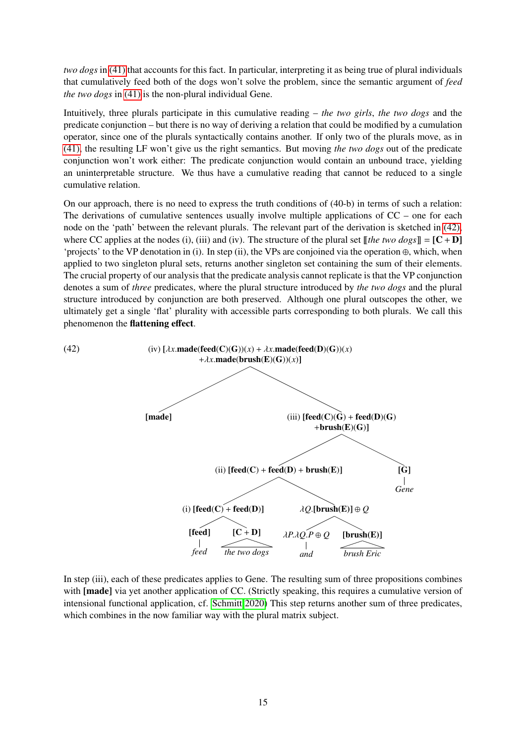*two dogs* in [\(41\)](#page-13-3) that accounts for this fact. In particular, interpreting it as being true of plural individuals that cumulatively feed both of the dogs won't solve the problem, since the semantic argument of *feed the two dogs* in [\(41\)](#page-13-3) is the non-plural individual Gene.

Intuitively, three plurals participate in this cumulative reading – *the two girls*, *the two dogs* and the predicate conjunction – but there is no way of deriving a relation that could be modified by a cumulation operator, since one of the plurals syntactically contains another. If only two of the plurals move, as in [\(41\),](#page-13-3) the resulting LF won't give us the right semantics. But moving *the two dogs* out of the predicate conjunction won't work either: The predicate conjunction would contain an unbound trace, yielding an uninterpretable structure. We thus have a cumulative reading that cannot be reduced to a single cumulative relation.

On our approach, there is no need to express the truth conditions of (40-b) in terms of such a relation: The derivations of cumulative sentences usually involve multiple applications of  $CC$  – one for each node on the 'path' between the relevant plurals. The relevant part of the derivation is sketched in [\(42\),](#page-14-0) where CC applies at the nodes (i), (iii) and (iv). The structure of the plural set  $\llbracket$  *the two dogs* $\llbracket = [C + D]$ 'projects' to the VP denotation in (i). In step (ii), the VPs are conjoined via the operation ⊕, which, when applied to two singleton plural sets, returns another singleton set containing the sum of their elements. The crucial property of our analysis that the predicate analysis cannot replicate is that the VP conjunction denotes a sum of *three* predicates, where the plural structure introduced by *the two dogs* and the plural structure introduced by conjunction are both preserved. Although one plural outscopes the other, we ultimately get a single 'flat' plurality with accessible parts corresponding to both plurals. We call this phenomenon the flattening effect.

<span id="page-14-0"></span>

In step (iii), each of these predicates applies to Gene. The resulting sum of three propositions combines with [made] via yet another application of CC. (Strictly speaking, this requires a cumulative version of intensional functional application, cf. [Schmitt 2020\)](#page-36-4) This step returns another sum of three predicates, which combines in the now familiar way with the plural matrix subject.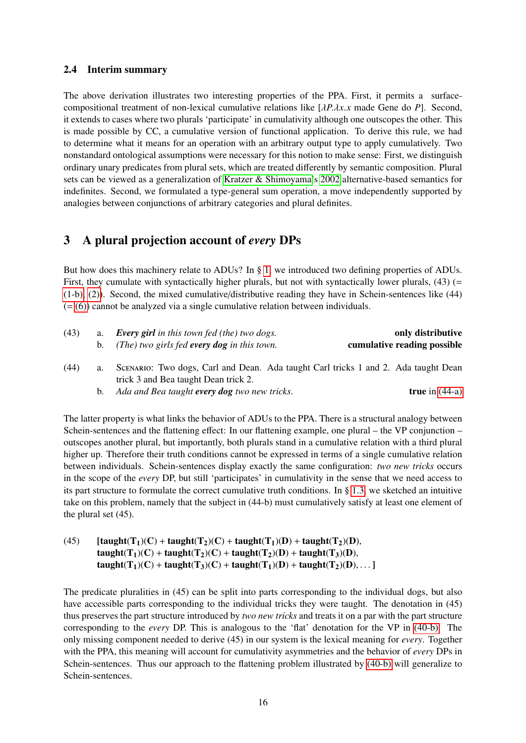#### 2.4 Interim summary

The above derivation illustrates two interesting properties of the PPA. First, it permits a surfacecompositional treatment of non-lexical cumulative relations like [λ*P*.λ*x*.*<sup>x</sup>* made Gene do *<sup>P</sup>*]. Second, it extends to cases where two plurals 'participate' in cumulativity although one outscopes the other. This is made possible by CC, a cumulative version of functional application. To derive this rule, we had to determine what it means for an operation with an arbitrary output type to apply cumulatively. Two nonstandard ontological assumptions were necessary for this notion to make sense: First, we distinguish ordinary unary predicates from plural sets, which are treated differently by semantic composition. Plural sets can be viewed as a generalization of [Kratzer & Shimoyama'](#page-35-4)s [2002](#page-35-4) alternative-based semantics for indefinites. Second, we formulated a type-general sum operation, a move independently supported by analogies between conjunctions of arbitrary categories and plural definites.

## <span id="page-15-0"></span>3 A plural projection account of *every* DPs

But how does this machinery relate to ADUs? In § [1,](#page-0-3) we introduced two defining properties of ADUs. First, they cumulate with syntactically higher plurals, but not with syntactically lower plurals,  $(43)$  (= [\(1-b\),](#page-0-0) [\(2\)\)](#page-1-0). Second, the mixed cumulative/distributive reading they have in Schein-sentences like (44)  $(=(6))$  $(=(6))$  cannot be analyzed via a single cumulative relation between individuals.

<span id="page-15-2"></span><span id="page-15-1"></span>

| (43) | a. | <b>Every girl</b> in this town fed (the) two dogs.<br>b. (The) two girls fed every dog in this town.                       |  | only distributive<br>cumulative reading possible |  |  |
|------|----|----------------------------------------------------------------------------------------------------------------------------|--|--------------------------------------------------|--|--|
| (44) |    | SCENARIO: Two dogs, Carl and Dean. Ada taught Carl tricks 1 and 2. Ada taught Dean<br>trick 3 and Bea taught Dean trick 2. |  |                                                  |  |  |
|      |    |                                                                                                                            |  |                                                  |  |  |

b. *Ada and Bea taught every dog two new tricks*. true in [\(44-a\)](#page-15-1)

<span id="page-15-3"></span>The latter property is what links the behavior of ADUs to the PPA. There is a structural analogy between Schein-sentences and the flattening effect: In our flattening example, one plural – the VP conjunction – outscopes another plural, but importantly, both plurals stand in a cumulative relation with a third plural higher up. Therefore their truth conditions cannot be expressed in terms of a single cumulative relation between individuals. Schein-sentences display exactly the same configuration: *two new tricks* occurs in the scope of the *every* DP, but still 'participates' in cumulativity in the sense that we need access to its part structure to formulate the correct cumulative truth conditions. In § [1.3,](#page-2-3) we sketched an intuitive take on this problem, namely that the subject in (44-b) must cumulatively satisfy at least one element of the plural set (45).

(45)  $\text{[taught]}(T_1)(C) + \text{taught}(T_2)(C) + \text{taught}(T_1)(D) + \text{taught}(T_2)(D),$ taught(T<sub>1</sub>)(C) + taught(T<sub>2</sub>)(C) + taught(T<sub>2</sub>)(D) + taught(T<sub>3</sub>)(D), taught(T<sub>1</sub>)(C) + taught(T<sub>3</sub>)(C) + taught(T<sub>1</sub>)(D) + taught(T<sub>2</sub>)(D), ...]

The predicate pluralities in (45) can be split into parts corresponding to the individual dogs, but also have accessible parts corresponding to the individual tricks they were taught. The denotation in (45) thus preserves the part structure introduced by *two new tricks* and treats it on a par with the part structure corresponding to the *every* DP. This is analogous to the 'flat' denotation for the VP in [\(40-b\).](#page-13-1) The only missing component needed to derive (45) in our system is the lexical meaning for *every*. Together with the PPA, this meaning will account for cumulativity asymmetries and the behavior of *every* DPs in Schein-sentences. Thus our approach to the flattening problem illustrated by [\(40-b\)](#page-13-1) will generalize to Schein-sentences.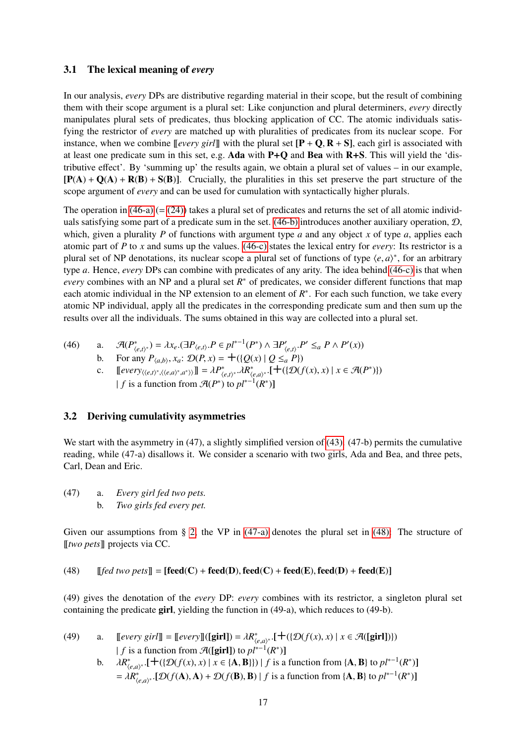#### 3.1 The lexical meaning of *every*

In our analysis, *every* DPs are distributive regarding material in their scope, but the result of combining them with their scope argument is a plural set: Like conjunction and plural determiners, *every* directly manipulates plural sets of predicates, thus blocking application of CC. The atomic individuals satisfying the restrictor of *every* are matched up with pluralities of predicates from its nuclear scope. For instance, when we combine  $[[every\, girl]]$  with the plural set  $[P + Q, R + S]$ , each girl is associated with at least one predicate sum in this set, e.g. Ada with P+Q and Bea with R+S. This will yield the 'distributive effect'. By 'summing up' the results again, we obtain a plural set of values – in our example,  $[P(A) + Q(A) + R(B) + S(B)]$ . Crucially, the pluralities in this set preserve the part structure of the scope argument of *every* and can be used for cumulation with syntactically higher plurals.

The operation in [\(46-a\)](#page-16-0) (= [\(24\)\)](#page-8-9) takes a plural set of predicates and returns the set of all atomic individuals satisfying some part of a predicate sum in the set.  $(46-b)$  introduces another auxiliary operation,  $D$ , which, given a plurality *P* of functions with argument type *a* and any object *x* of type *a*, applies each atomic part of *P* to *x* and sums up the values. [\(46-c\)](#page-16-2) states the lexical entry for *every*: Its restrictor is a plural set of NP denotations, its nuclear scope a plural set of functions of type  $\langle e, a \rangle^*$ , for an arbitrary<br>type a Hence gyary DPs can combine with predicates of any grity. The idea behind (46 c) is that when type *a*. Hence, *every* DPs can combine with predicates of any arity. The idea behind [\(46-c\)](#page-16-2) is that when *every* combines with an NP and a plural set  $R^*$  of predicates, we consider different functions that map each atomic individual in the NP extension to an element of  $R^*$ . For each such function, we take every atomic NP individual, apply all the predicates in the corresponding predicate sum and then sum up the results over all the individuals. The sums obtained in this way are collected into a plural set.

<span id="page-16-6"></span><span id="page-16-2"></span><span id="page-16-1"></span><span id="page-16-0"></span>(46) a. 
$$
\mathcal{A}(P_{\langle e,t\rangle^*}^*) = \lambda x_e \cdot (\exists P_{\langle e,t\rangle}. P \in pl^{*-1}(P^*) \land \exists P_{\langle e,t\rangle}'. P' \leq_a P \land P'(x))
$$
  
\nb. For any  $P_{\langle a,b\rangle}, x_a: \mathcal{D}(P, x) = +(\{Q(x) \mid Q \leq_a P\})$   
\nc.  $[every_{\langle e,t\rangle^*, \langle e,a\rangle^*, a^* \rangle]} I = \lambda P_{\langle e,t\rangle^*}^* \cdot \lambda R_{\langle e,a\rangle^*}^* \cdot \{+( \{ \mathcal{D}(f(x), x) \mid x \in \mathcal{A}(P^*) \}) \}$   
\n $|f$  is a function from  $\mathcal{A}(P^*)$  to  $pl^{*-1}(R^*)$ ]

#### 3.2 Deriving cumulativity asymmetries

We start with the asymmetry in (47), a slightly simplified version of [\(43\).](#page-15-2) (47-b) permits the cumulative reading, while (47-a) disallows it. We consider a scenario with two girls, Ada and Bea, and three pets, Carl, Dean and Eric.

<span id="page-16-5"></span><span id="page-16-3"></span>(47) a. *Every girl fed two pets.* b. *Two girls fed every pet.*

Given our assumptions from § [2,](#page-3-2) the VP in  $(47-a)$  denotes the plural set in  $(48)$ : The structure of [[*two pets*]] projects via CC.

<span id="page-16-4"></span>(48)  $[[fed\ two\ pets]] = [feed(C) + feed(D), feed(C) + feed(E), feed(D) + feed(E)]$ 

(49) gives the denotation of the *every* DP: *every* combines with its restrictor, a singleton plural set containing the predicate girl, yielding the function in (49-a), which reduces to (49-b).

| a. <i>[[every girl]]</i> = $[[every]$ <i>[[girl]</i> ) = $\lambda R^*_{(e,a)^*}$ <i>.</i> $[+({\mathcal{D}}(f(x),x)   x \in \mathcal{A}([\text{girl}]))$ |
|----------------------------------------------------------------------------------------------------------------------------------------------------------|
| f is a function from $\mathcal{A}([\textbf{girl}])$ to $pl^{*-1}(R^*)$ ]                                                                                 |
| b. $\lambda R^*_{(e,a)^*}$ [+({ $\mathcal{D}(f(x),x) \mid x \in \{A,B\}\}\)   f$ is a function from {A, B} to $pl^{*-1}(R^*)$ ]                          |
| $= \lambda R_{(e,a)^*}^*$ [D(f(A), A) + D(f(B), B)   f is a function from {A, B} to $pl^{*-1}(R^*)$ ]                                                    |
|                                                                                                                                                          |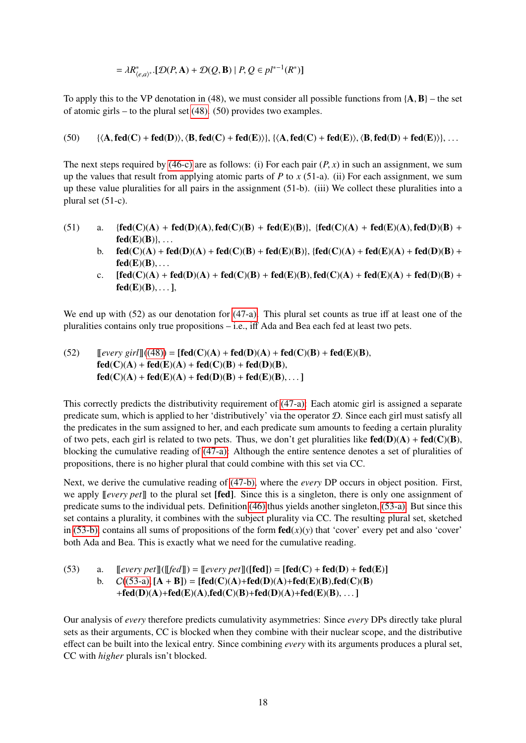$$
= \lambda R^*_{\langle e, a \rangle^*} [ \mathcal{D}(P, \mathbf{A}) + \mathcal{D}(Q, \mathbf{B}) | P, Q \in pl^{*-1}(R^*)]
$$

To apply this to the VP denotation in (48), we must consider all possible functions from  ${A, B}$  – the set of atomic girls – to the plural set [\(48\).](#page-16-4) (50) provides two examples.

#### (50)  ${\{\langle A, \text{fed}(C) + \text{fed}(D)\rangle\}, \langle B, \text{fed}(C) + \text{fed}(E)\rangle\}, \{\langle A, \text{fed}(C) + \text{fed}(E)\rangle\}, \langle B, \text{fed}(D) + \text{fed}(E)\rangle\}, \ldots$

The next steps required by [\(46-c\)](#page-16-2) are as follows: (i) For each pair  $(P, x)$  in such an assignment, we sum up the values that result from applying atomic parts of *P* to *x* (51-a). (ii) For each assignment, we sum up these value pluralities for all pairs in the assignment (51-b). (iii) We collect these pluralities into a plural set (51-c).

- (51) a. { $\text{fed}(C)(A) + \text{fed}(D)(A)$ ,  $\text{fed}(C)(B) + \text{fed}(E)(B)$ }, { $\text{fed}(C)(A) + \text{fed}(E)(A)$ ,  $\text{fed}(D)(B) +$  $fed(E)(B)\}, \ldots$ 
	- b.  $\text{fed}(C)(A) + \text{fed}(D)(A) + \text{fed}(C)(B) + \text{fed}(E)(B)\}, \text{fed}(C)(A) + \text{fed}(D)(A) + \text{fed}(D)(B) +$  $fed(E)(B), \ldots$
	- c.  $[fed(C)(A) + fed(D)(A) + fed(C)(B) + fed(E)(B), fed(C)(A) + fed(E)(A) + fed(D)(B) +$  $fed(E)(B), \ldots$ ],

We end up with (52) as our denotation for [\(47-a\).](#page-16-3) This plural set counts as true iff at least one of the pluralities contains only true propositions – i.e., iff Ada and Bea each fed at least two pets.

(52) 
$$
[[every\,]((48)) = [fed(C)(A) + fed(D)(A) + fed(C)(B) + fed(E)(B),
$$
  
\nfed(C)(A) + fed(E)(A) + fed(C)(B) + fed(D)(B),  
\nfed(C)(A) + fed(E)(A) + fed(D)(B) + fed(E)(B),...]

This correctly predicts the distributivity requirement of [\(47-a\):](#page-16-3) Each atomic girl is assigned a separate predicate sum, which is applied to her 'distributively' via the operator D. Since each girl must satisfy all the predicates in the sum assigned to her, and each predicate sum amounts to feeding a certain plurality of two pets, each girl is related to two pets. Thus, we don't get pluralities like  $\text{fed}(D)(A) + \text{fed}(C)(B)$ , blocking the cumulative reading of [\(47-a\):](#page-16-3) Although the entire sentence denotes a set of pluralities of propositions, there is no higher plural that could combine with this set via CC.

Next, we derive the cumulative reading of [\(47-b\),](#page-16-5) where the *every* DP occurs in object position. First, we apply [[*every pet*]] to the plural set [fed]. Since this is a singleton, there is only one assignment of predicate sums to the individual pets. Definition [\(46\)](#page-16-6) thus yields another singleton, [\(53-a\).](#page-17-0) But since this set contains a plurality, it combines with the subject plurality via CC. The resulting plural set, sketched in [\(53-b\),](#page-17-1) contains all sums of propositions of the form  $\text{fed}(x)(y)$  that 'cover' every pet and also 'cover' both Ada and Bea. This is exactly what we need for the cumulative reading.

```
(53) a. [every\,[[def]]] = [every\,[[def]]] = [fed] - [fed(C) + fed(D) + fed(E)]b. ((53-a), [A + B]) = [fed(C)(A) + fed(D)(A) + fed(E)(B), fed(C)(B)+fed(D)(A)+fed(E)(A),fed(C)(B)+fed(D)(A)+fed(E)(B), ...]
```
Our analysis of *every* therefore predicts cumulativity asymmetries: Since *every* DPs directly take plural sets as their arguments, CC is blocked when they combine with their nuclear scope, and the distributive effect can be built into the lexical entry. Since combining *every* with its arguments produces a plural set, CC with *higher* plurals isn't blocked.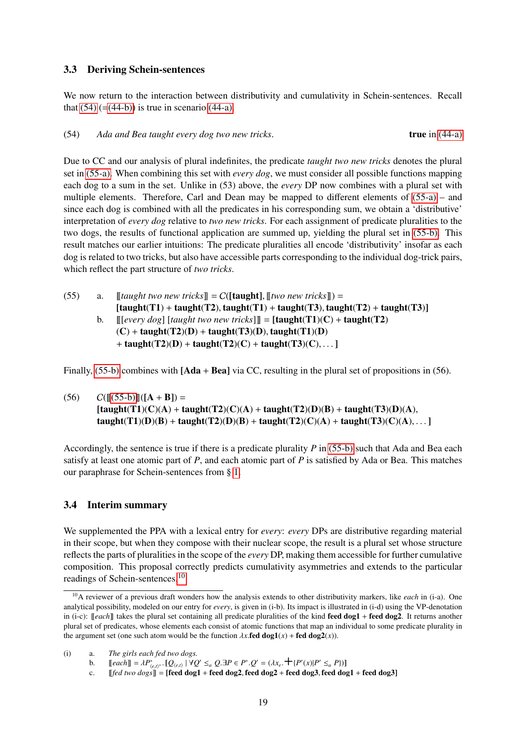#### 3.3 Deriving Schein-sentences

We now return to the interaction between distributivity and cumulativity in Schein-sentences. Recall that  $(54)$  (=[\(44-b\)\)](#page-15-3) is true in scenario [\(44-a\).](#page-15-1)

<span id="page-18-0"></span>(54) *Ada and Bea taught every dog two new tricks*. true in [\(44-a\)](#page-15-1)

Due to CC and our analysis of plural indefinites, the predicate *taught two new tricks* denotes the plural set in [\(55-a\).](#page-18-1) When combining this set with *every dog*, we must consider all possible functions mapping each dog to a sum in the set. Unlike in (53) above, the *every* DP now combines with a plural set with multiple elements. Therefore, Carl and Dean may be mapped to different elements of [\(55-a\)](#page-18-1) – and since each dog is combined with all the predicates in his corresponding sum, we obtain a 'distributive' interpretation of *every dog* relative to *two new tricks*. For each assignment of predicate pluralities to the two dogs, the results of functional application are summed up, yielding the plural set in [\(55-b\).](#page-18-2) This result matches our earlier intuitions: The predicate pluralities all encode 'distributivity' insofar as each dog is related to two tricks, but also have accessible parts corresponding to the individual dog-trick pairs, which reflect the part structure of *two tricks*.

<span id="page-18-2"></span><span id="page-18-1"></span>(55) a.  $\left[\begin{array}{cc} \text{taught two new tricks} \end{array}\right] = C(\left[\text{taught}\right], \left[\begin{array}{cc} \text{two new tricks} \end{array}\right]) =$  $[taught(T1) + taught(T2), taught(T1) + taught(T3), taught(T2) + taught(T3)]$ b.  $\left[\left[\text{[every dog]} \right]$   $\left[\text{taught two new tricks} \right] \right] = \left[\text{taught}(T1)(C) + \text{taught}(T2)\right]$  $(C)$  + taught(T2)(D) + taught(T3)(D), taught(T1)(D) + taught(T2)(D) + taught(T2)(C) + taught(T3)(C), ... ]

Finally, [\(55-b\)](#page-18-2) combines with [Ada + Bea] via CC, resulting in the plural set of propositions in (56).

 $(C([55-**6**)][([A + B]) =$  $[taught(T1)(C)(A) + taught(T2)(C)(A) + taught(T2)(D)(B) + taught(T3)(D)(A),$ taught(T1)(D)(B) + taught(T2)(D)(B) + taught(T2)(C)(A) + taught(T3)(C)(A), ... ]

Accordingly, the sentence is true if there is a predicate plurality *P* in [\(55-b\)](#page-18-2) such that Ada and Bea each satisfy at least one atomic part of *P*, and each atomic part of *P* is satisfied by Ada or Bea. This matches our paraphrase for Schein-sentences from § [1.](#page-0-3)

#### 3.4 Interim summary

We supplemented the PPA with a lexical entry for *every*: *every* DPs are distributive regarding material in their scope, but when they compose with their nuclear scope, the result is a plural set whose structure reflects the parts of pluralities in the scope of the *every* DP, making them accessible for further cumulative composition. This proposal correctly predicts cumulativity asymmetries and extends to the particular readings of Schein-sentences.[10](#page-18-3)

(i) a. *The girls each fed two dogs.*

b. [[*each*]] =  $\lambda P^*_{(e,t)^*}$  · [Q<sub>(e,t)</sub> | ∀Q' ≤<sub>*a*</sub> Q.∃P ∈ P<sup>\*</sup> · Q' = ( $\lambda x_e$ , + {P'(x)|P' ≤<sub>*a*</sub> P})]</sub><br>c. [[fed two dogs]] – [feed dog1 + feed dog2 feed dog2 + feed dog3 feed do

<span id="page-18-3"></span><sup>10</sup>A reviewer of a previous draft wonders how the analysis extends to other distributivity markers, like *each* in (i-a). One analytical possibility, modeled on our entry for *every*, is given in (i-b). Its impact is illustrated in (i-d) using the VP-denotation in (i-c): [[*each*]] takes the plural set containing all predicate pluralities of the kind **feed dog1** + **feed dog2**. It returns another plural set of predicates, whose elements each consist of atomic functions that map an individual to some predicate plurality in the argument set (one such atom would be the function  $\lambda x$ .fed dog1(*x*) + fed dog2(*x*)).

c.  $[[\text{fed two dogs}] = [\text{feed dog1 + feed dog2, feed dog2 + feed dog3, feed dog1 + feed dog3]$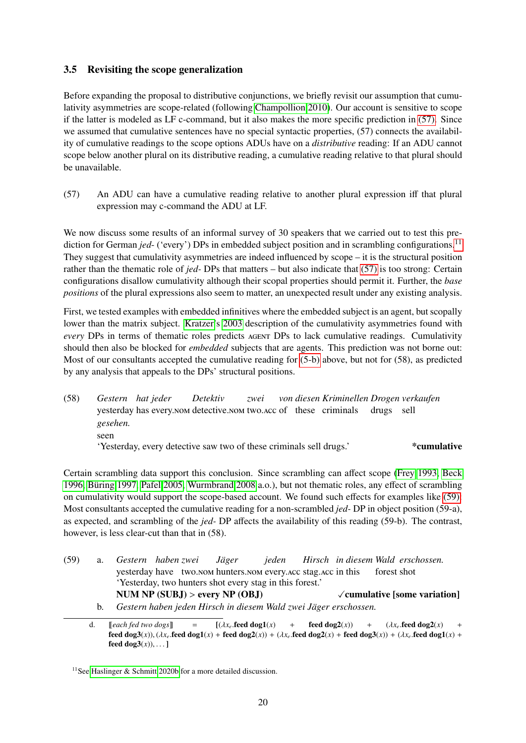## <span id="page-19-0"></span>3.5 Revisiting the scope generalization

Before expanding the proposal to distributive conjunctions, we briefly revisit our assumption that cumulativity asymmetries are scope-related (following [Champollion 2010\)](#page-34-1). Our account is sensitive to scope if the latter is modeled as LF c-command, but it also makes the more specific prediction in [\(57\).](#page-19-1) Since we assumed that cumulative sentences have no special syntactic properties, (57) connects the availability of cumulative readings to the scope options ADUs have on a *distributive* reading: If an ADU cannot scope below another plural on its distributive reading, a cumulative reading relative to that plural should be unavailable.

<span id="page-19-1"></span>(57) An ADU can have a cumulative reading relative to another plural expression iff that plural expression may c-command the ADU at LF.

We now discuss some results of an informal survey of 30 speakers that we carried out to test this prediction for German *jed*- ('every') DPs in embedded subject position and in scrambling configurations.<sup>[11](#page-19-2)</sup> They suggest that cumulativity asymmetries are indeed influenced by scope – it is the structural position rather than the thematic role of *jed-* DPs that matters – but also indicate that [\(57\)](#page-19-1) is too strong: Certain configurations disallow cumulativity although their scopal properties should permit it. Further, the *base positions* of the plural expressions also seem to matter, an unexpected result under any existing analysis.

First, we tested examples with embedded infinitives where the embedded subject is an agent, but scopally lower than the matrix subject. [Kratzer'](#page-35-1)s [2003](#page-35-1) description of the cumulativity asymmetries found with *every* DPs in terms of thematic roles predicts AGENT DPs to lack cumulative readings. Cumulativity should then also be blocked for *embedded* subjects that are agents. This prediction was not borne out: Most of our consultants accepted the cumulative reading for [\(5-b\)](#page-2-4) above, but not for (58), as predicted by any analysis that appeals to the DPs' structural positions.

(58) *Gestern hat jeder* yesterday has every.nom detective.nom two.acc of these criminals *Detektiv zwei von diesen Kriminellen Drogen verkaufen* drugs sell *gesehen.* seen 'Yesterday, every detective saw two of these criminals sell drugs.' \*cumulative

Certain scrambling data support this conclusion. Since scrambling can affect scope [\(Frey 1993,](#page-34-6) [Beck](#page-33-2) [1996,](#page-33-2) [Büring 1997,](#page-34-7) [Pafel 2005,](#page-35-9) [Wurmbrand 2008](#page-36-5) a.o.), but not thematic roles, any effect of scrambling on cumulativity would support the scope-based account. We found such effects for examples like [\(59\):](#page-19-3) Most consultants accepted the cumulative reading for a non-scrambled *jed-* DP in object position (59-a), as expected, and scrambling of the *jed-* DP affects the availability of this reading (59-b). The contrast, however, is less clear-cut than that in (58).

<span id="page-19-5"></span><span id="page-19-3"></span>

| (59) |    | a. Gestern habenzwei Jäger                                       |  |  |  |  |             | jeden Hirsch in diesem Wald erschossen.     |  |
|------|----|------------------------------------------------------------------|--|--|--|--|-------------|---------------------------------------------|--|
|      |    | yesterday have two.nom hunters.nom every.acc stag.acc in this    |  |  |  |  | forest shot |                                             |  |
|      |    | 'Yesterday, two hunters shot every stag in this forest.'         |  |  |  |  |             |                                             |  |
|      |    | NUM NP $(SUBJ) >$ every NP $(OBJ)$                               |  |  |  |  |             | $\sqrt{\text{cumulative}}$ [some variation] |  |
|      | b. | Gestern haben jeden Hirsch in diesem Wald zwei Jäger erschossen. |  |  |  |  |             |                                             |  |

<span id="page-19-4"></span>d. [[*each fed two dogs*]] =  $[(\lambda x_e \text{.feed dog1}(x) + \text{feed dog2}(x)) + (\lambda x_e \text{.feed dog2}(x)) + \text{feed dog3}(x)]$  + (*ax*<sub>*e*</sub> feed dog2(*x*)) + (*ax*<sub>*e*</sub> feed dog2(*x*)) + (*ax*<sub>*f*</sub> feed dog2(*x*)) + (*ax*<sub>*f*</sub> feed dog3(*x*)) + (*ax*<sub>*f*</sub> feed dog3( feed dog3(*x*)), ( $\lambda x_e$  feed dog1(*x*) + feed dog2(*x*)) + ( $\lambda x_e$  feed dog2(*x*) + feed dog3(*x*)) + ( $\lambda x_e$  feed dog1(*x*) + feed dog3(*x*)) feed  $\text{dog3}(x)$ , ... 1

<span id="page-19-2"></span><sup>11</sup>See [Haslinger & Schmitt 2020b](#page-34-8) for a more detailed discussion.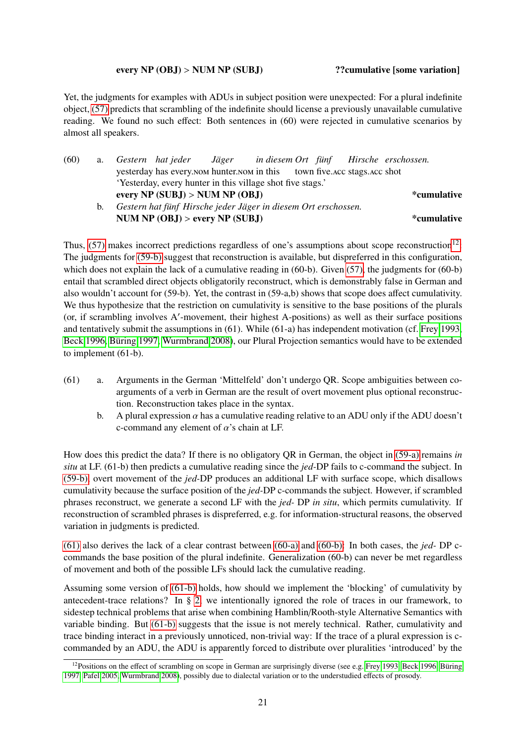#### every NP (OBJ) > NUM NP (SUBJ) ??cumulative [some variation]

Yet, the judgments for examples with ADUs in subject position were unexpected: For a plural indefinite object, [\(57\)](#page-19-1) predicts that scrambling of the indefinite should license a previously unavailable cumulative reading. We found no such effect: Both sentences in (60) were rejected in cumulative scenarios by almost all speakers.

<span id="page-20-2"></span>

| (60) |    | a. Gestern hat jeder Jäger in diesem Ort fünf Hirsche erschossen.        |  |  |  |  |  |
|------|----|--------------------------------------------------------------------------|--|--|--|--|--|
|      |    | yesterday has every NOM hunter NOM in this town five ACC stags. ACC shot |  |  |  |  |  |
|      |    | 'Yesterday, every hunter in this village shot five stags.'               |  |  |  |  |  |
|      |    | every NP (SUBJ) > NUM NP (OBJ)<br>*cumulative                            |  |  |  |  |  |
|      | b. | Gestern hat fünf Hirsche jeder Jäger in diesem Ort erschossen.           |  |  |  |  |  |
|      |    | NUM NP $(OBJ) >$ every NP $(SUBJ)$<br>*cumulative                        |  |  |  |  |  |
|      |    |                                                                          |  |  |  |  |  |

<span id="page-20-3"></span>Thus,  $(57)$  makes incorrect predictions regardless of one's assumptions about scope reconstruction<sup>[12](#page-20-0)</sup>: The judgments for [\(59-b\)](#page-19-4) suggest that reconstruction is available, but dispreferred in this configuration, which does not explain the lack of a cumulative reading in (60-b). Given [\(57\),](#page-19-1) the judgments for (60-b) entail that scrambled direct objects obligatorily reconstruct, which is demonstrably false in German and also wouldn't account for (59-b). Yet, the contrast in (59-a,b) shows that scope does affect cumulativity. We thus hypothesize that the restriction on cumulativity is sensitive to the base positions of the plurals (or, if scrambling involves A'-movement, their highest A-positions) as well as their surface positions and tentatively submit the assumptions in (61). While (61-a) has independent motivation (cf. [Frey 1993,](#page-34-6) [Beck 1996,](#page-33-2) [Büring 1997,](#page-34-7) [Wurmbrand 2008\)](#page-36-5), our Plural Projection semantics would have to be extended to implement (61-b).

- <span id="page-20-4"></span><span id="page-20-1"></span>(61) a. Arguments in the German 'Mittelfeld' don't undergo QR. Scope ambiguities between coarguments of a verb in German are the result of overt movement plus optional reconstruction. Reconstruction takes place in the syntax.
	- b. A plural expression  $\alpha$  has a cumulative reading relative to an ADU only if the ADU doesn't c-command any element of  $\alpha$ 's chain at LF.

How does this predict the data? If there is no obligatory QR in German, the object in [\(59-a\)](#page-19-5) remains *in situ* at LF. (61-b) then predicts a cumulative reading since the *jed-*DP fails to c-command the subject. In [\(59-b\),](#page-19-4) overt movement of the *jed-*DP produces an additional LF with surface scope, which disallows cumulativity because the surface position of the *jed-*DP c-commands the subject. However, if scrambled phrases reconstruct, we generate a second LF with the *jed-* DP *in situ*, which permits cumulativity. If reconstruction of scrambled phrases is dispreferred, e.g. for information-structural reasons, the observed variation in judgments is predicted.

[\(61\)](#page-20-1) also derives the lack of a clear contrast between [\(60-a\)](#page-20-2) and [\(60-b\):](#page-20-3) In both cases, the *jed-* DP ccommands the base position of the plural indefinite. Generalization (60-b) can never be met regardless of movement and both of the possible LFs should lack the cumulative reading.

Assuming some version of [\(61-b\)](#page-20-4) holds, how should we implement the 'blocking' of cumulativity by antecedent-trace relations? In § [2,](#page-3-2) we intentionally ignored the role of traces in our framework, to sidestep technical problems that arise when combining Hamblin/Rooth-style Alternative Semantics with variable binding. But [\(61-b\)](#page-20-4) suggests that the issue is not merely technical. Rather, cumulativity and trace binding interact in a previously unnoticed, non-trivial way: If the trace of a plural expression is ccommanded by an ADU, the ADU is apparently forced to distribute over pluralities 'introduced' by the

<span id="page-20-0"></span><sup>&</sup>lt;sup>12</sup>Positions on the effect of scrambling on scope in German are surprisingly diverse (see e.g. [Frey 1993,](#page-34-6) [Beck 1996,](#page-33-2) [Büring](#page-34-7) [1997,](#page-34-7) [Pafel 2005,](#page-35-9) [Wurmbrand 2008\)](#page-36-5), possibly due to dialectal variation or to the understudied effects of prosody.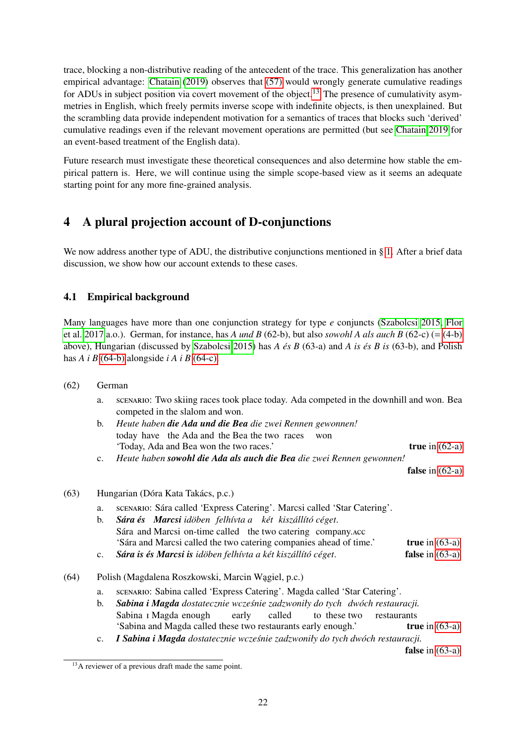trace, blocking a non-distributive reading of the antecedent of the trace. This generalization has another empirical advantage: [Chatain](#page-34-9) [\(2019\)](#page-34-9) observes that [\(57\)](#page-19-1) would wrongly generate cumulative readings for ADUs in subject position via covert movement of the object.<sup>[13](#page-21-1)</sup> The presence of cumulativity asymmetries in English, which freely permits inverse scope with indefinite objects, is then unexplained. But the scrambling data provide independent motivation for a semantics of traces that blocks such 'derived' cumulative readings even if the relevant movement operations are permitted (but see [Chatain 2019](#page-34-9) for an event-based treatment of the English data).

Future research must investigate these theoretical consequences and also determine how stable the empirical pattern is. Here, we will continue using the simple scope-based view as it seems an adequate starting point for any more fine-grained analysis.

## <span id="page-21-0"></span>4 A plural projection account of D-conjunctions

We now address another type of ADU, the distributive conjunctions mentioned in § [1.](#page-0-3) After a brief data discussion, we show how our account extends to these cases.

## 4.1 Empirical background

Many languages have more than one conjunction strategy for type *e* conjuncts [\(Szabolcsi 2015,](#page-36-6) [Flor](#page-34-10) [et al. 2017](#page-34-10) a.o.). German, for instance, has *A und B* (62-b), but also *sowohl A als auch B* (62-c) (= [\(4-b\)](#page-1-4) above), Hungarian (discussed by [Szabolcsi 2015\)](#page-36-6) has *A és B* (63-a) and *A is és B is* (63-b), and Polish has  $A$  *i*  $B$  [\(64-b\)](#page-21-2) alongside *i*  $A$  *i*  $B$  [\(64-c\).](#page-21-3)

- <span id="page-21-4"></span>(62) German
	- a. scenario: Two skiing races took place today. Ada competed in the downhill and won. Bea competed in the slalom and won.
	- b. *Heute haben die Ada und die Bea die zwei Rennen gewonnen!* today have the Ada and the Bea the two races won 'Today, Ada and Bea won the two races.' **true** in [\(62-a\)](#page-21-4)
	- c. *Heute haben sowohl die Ada als auch die Bea die zwei Rennen gewonnen!*

false in  $(62-a)$ 

- <span id="page-21-6"></span><span id="page-21-5"></span>(63) Hungarian (Dóra Kata Takács, p.c.)
	- a. scenario: Sára called 'Express Catering'. Marcsi called 'Star Catering'.
	- b. *Sára és Marcsi idöben felhívta a két kiszállító céget*. Sára and Marcsi on-time called the two catering company. Acc 'Sára and Marcsi called the two catering companies ahead of time.' true in [\(63-a\)](#page-21-5)
	- c. *Sára is és Marcsi is idöben felhívta a két kiszállító céget*. false in [\(63-a\)](#page-21-5)
- <span id="page-21-7"></span><span id="page-21-2"></span>(64) Polish (Magdalena Roszkowski, Marcin Wagiel, p.c.)
	- a. scenario: Sabina called 'Express Catering'. Magda called 'Star Catering'.
	- b. *Sabina i Magda dostatecznie wczesnie ´ zadzwoniły do tych dwóch restauracji.* Sabina <sub>I</sub> Magda enough early called to these two restaurants 'Sabina and Magda called these two restaurants early enough.' true in [\(63-a\)](#page-21-5)
	- c. *I Sabina i Magda dostatecznie wczesnie zadzwoniły do tych dwóch restauracji. ´*

false in  $(63-a)$ 

<span id="page-21-3"></span><span id="page-21-1"></span><sup>&</sup>lt;sup>13</sup>A reviewer of a previous draft made the same point.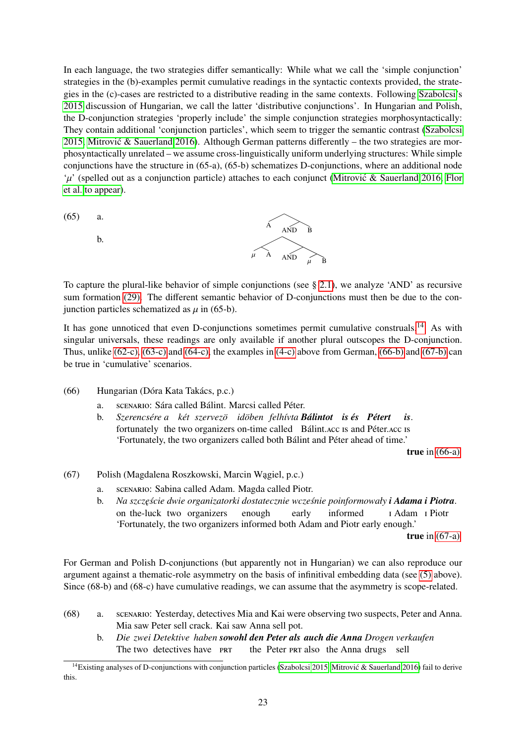In each language, the two strategies differ semantically: While what we call the 'simple conjunction' strategies in the (b)-examples permit cumulative readings in the syntactic contexts provided, the strategies in the (c)-cases are restricted to a distributive reading in the same contexts. Following [Szabolcsi'](#page-36-6)s [2015](#page-36-6) discussion of Hungarian, we call the latter 'distributive conjunctions'. In Hungarian and Polish, the D-conjunction strategies 'properly include' the simple conjunction strategies morphosyntactically: They contain additional 'conjunction particles', which seem to trigger the semantic contrast [\(Szabolcsi](#page-36-6) [2015,](#page-36-6) Mitrović & Sauerland 2016). Although German patterns differently – the two strategies are morphosyntactically unrelated – we assume cross-linguistically uniform underlying structures: While simple conjunctions have the structure in (65-a), (65-b) schematizes D-conjunctions, where an additional node  $\mu'$  (spelled out as a conjunction particle) attaches to each conjunct [\(Mitrovic & Sauerland 2016,](#page-35-10) [Flor](#page-34-11) [et al. to appear\)](#page-34-11).

<span id="page-22-6"></span>(65) a.

b.



To capture the plural-like behavior of simple conjunctions (see § [2.1\)](#page-4-0), we analyze 'AND' as recursive sum formation [\(29\).](#page-9-5) The different semantic behavior of D-conjunctions must then be due to the conjunction particles schematized as  $\mu$  in (65-b).

It has gone unnoticed that even D-conjunctions sometimes permit cumulative construals.<sup>[14](#page-22-0)</sup> As with singular universals, these readings are only available if another plural outscopes the D-conjunction. Thus, unlike [\(62-c\),](#page-21-6) [\(63-c\)](#page-21-7) and [\(64-c\),](#page-21-3) the examples in [\(4-c\)](#page-1-5) above from German, [\(66-b\)](#page-22-1) and [\(67-b\)](#page-22-2) can be true in 'cumulative' scenarios.

- <span id="page-22-3"></span><span id="page-22-1"></span>(66) Hungarian (Dóra Kata Takács, p.c.)
	- a. scenario: Sára called Bálint. Marcsi called Péter.
	- b. Szerencsére a két szervezö idöben felhívta **Bálintot is és Pétert** fortunately the two organizers on-time called Bálint. Acc is and Péter. Acc is *is*. 'Fortunately, the two organizers called both Bálint and Péter ahead of time.'

true in [\(66-a\)](#page-22-3)

- <span id="page-22-4"></span><span id="page-22-2"></span>(67) Polish (Magdalena Roszkowski, Marcin Wagiel, p.c.)
	- a. scenario: Sabina called Adam. Magda called Piotr.
	- b. *Na szczęście dwie organizatorki dostatecznie wcześnie poinformowały i Adama i Piotra.* on the-luck two organizers enough early informed i Adam i Piotr 'Fortunately, the two organizers informed both Adam and Piotr early enough.' true in [\(67-a\)](#page-22-4)

For German and Polish D-conjunctions (but apparently not in Hungarian) we can also reproduce our argument against a thematic-role asymmetry on the basis of infinitival embedding data (see [\(5\)](#page-1-6) above). Since (68-b) and (68-c) have cumulative readings, we can assume that the asymmetry is scope-related.

- <span id="page-22-5"></span>(68) a. scenario: Yesterday, detectives Mia and Kai were observing two suspects, Peter and Anna. Mia saw Peter sell crack. Kai saw Anna sell pot.
	- b. *Die zwei Detektive haben sowohl den Peter als auch die Anna Drogen verkaufen* The two detectives have PRT the Peter PRT also the Anna drugs sell

<span id="page-22-0"></span><sup>&</sup>lt;sup>14</sup>Existing analyses of D-conjunctions with conjunction particles [\(Szabolcsi 2015,](#page-36-6) Mitrović & Sauerland 2016) fail to derive this.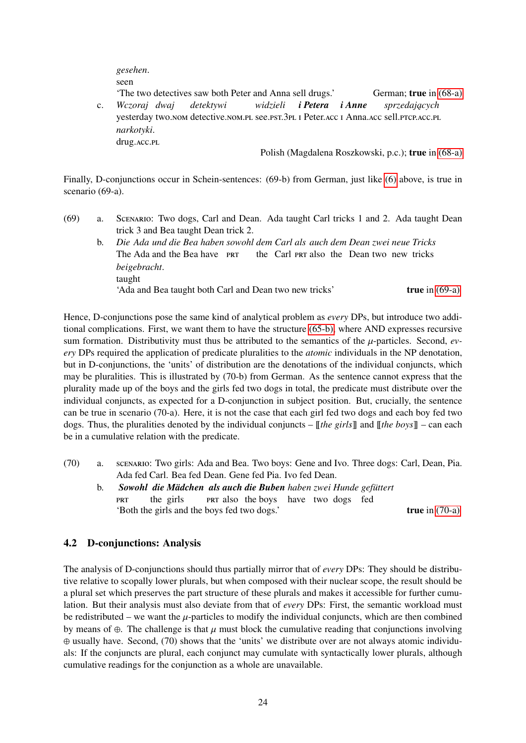*gesehen*. seen

'The two detectives saw both Peter and Anna sell drugs.' German; true in [\(68-a\)](#page-22-5) c. *Wczoraj dwaj* yesterday two.nom detective.nom.pl see.pst.3pl I Peter.acc I Anna.acc sell.prcp.acc.pl *detektywi widzieli i Petera i Anne sprzedaj ˛acych narkotyki*. drug.acc.pl

Polish (Magdalena Roszkowski, p.c.); true in [\(68-a\)](#page-22-5)

Finally, D-conjunctions occur in Schein-sentences: (69-b) from German, just like [\(6\)](#page-2-2) above, is true in scenario (69-a).

- <span id="page-23-2"></span><span id="page-23-0"></span>(69) a. Scenario: Two dogs, Carl and Dean. Ada taught Carl tricks 1 and 2. Ada taught Dean trick 3 and Bea taught Dean trick 2.
	- b. *Die Ada und die Bea haben sowohl dem Carl als auch dem Dean zwei neue Tricks* The Ada and the Bea have PRT the Carl PRT also the Dean two new tricks *beigebracht*. taught 'Ada and Bea taught both Carl and Dean two new tricks' true in [\(69-a\)](#page-23-0)

Hence, D-conjunctions pose the same kind of analytical problem as *every* DPs, but introduce two additional complications. First, we want them to have the structure [\(65-b\),](#page-22-6) where AND expresses recursive sum formation. Distributivity must thus be attributed to the semantics of the  $\mu$ -particles. Second, *every* DPs required the application of predicate pluralities to the *atomic* individuals in the NP denotation, but in D-conjunctions, the 'units' of distribution are the denotations of the individual conjuncts, which may be pluralities. This is illustrated by (70-b) from German. As the sentence cannot express that the plurality made up of the boys and the girls fed two dogs in total, the predicate must distribute over the individual conjuncts, as expected for a D-conjunction in subject position. But, crucially, the sentence can be true in scenario (70-a). Here, it is not the case that each girl fed two dogs and each boy fed two dogs. Thus, the pluralities denoted by the individual conjuncts – [[*the girls*]] and [[*the boys*]] – can each be in a cumulative relation with the predicate.

- <span id="page-23-3"></span><span id="page-23-1"></span>(70) a. scenario: Two girls: Ada and Bea. Two boys: Gene and Ivo. Three dogs: Carl, Dean, Pia. Ada fed Carl. Bea fed Dean. Gene fed Pia. Ivo fed Dean.
	- b. *Sowohl die Mädchen als auch die Buben haben zwei Hunde gefüttert* **PRT** the girls PRT also the boys have two dogs fed 'Both the girls and the boys fed two dogs.' true in [\(70-a\)](#page-23-1)

## 4.2 D-conjunctions: Analysis

The analysis of D-conjunctions should thus partially mirror that of *every* DPs: They should be distributive relative to scopally lower plurals, but when composed with their nuclear scope, the result should be a plural set which preserves the part structure of these plurals and makes it accessible for further cumulation. But their analysis must also deviate from that of *every* DPs: First, the semantic workload must be redistributed – we want the  $\mu$ -particles to modify the individual conjuncts, which are then combined by means of ⊕. The challenge is that  $\mu$  must block the cumulative reading that conjunctions involving ⊕ usually have. Second, (70) shows that the 'units' we distribute over are not always atomic individuals: If the conjuncts are plural, each conjunct may cumulate with syntactically lower plurals, although cumulative readings for the conjunction as a whole are unavailable.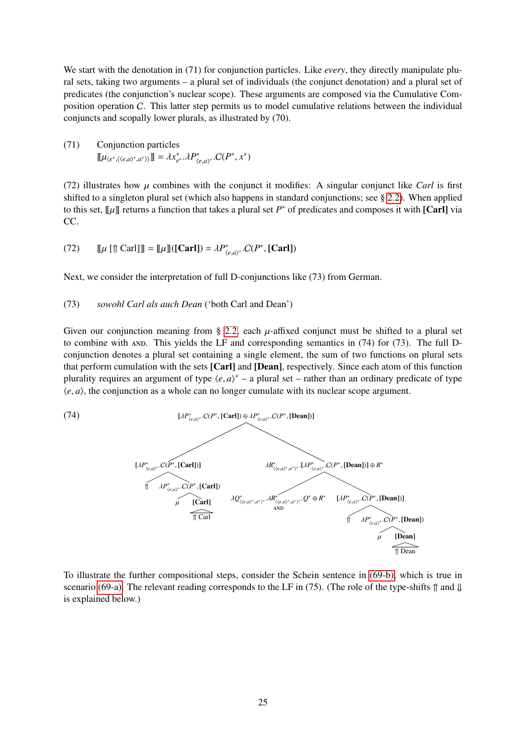We start with the denotation in (71) for conjunction particles. Like *every*, they directly manipulate plural sets, taking two arguments – a plural set of individuals (the conjunct denotation) and a plural set of predicates (the conjunction's nuclear scope). These arguments are composed via the Cumulative Composition operation C. This latter step permits us to model cumulative relations between the individual conjuncts and scopally lower plurals, as illustrated by (70).

(71) Conjunction particles  $[\![\mu_{\langle e^*, \langle \langle e, a \rangle^*, a^* \rangle \rangle}]\!] = \lambda x_{e^*}^* \cdot \lambda P_{\langle e, a \rangle^*}^* \cdot C(P^*, x^*)$ 

(72) illustrates how  $\mu$  combines with the conjunct it modifies: A singular conjunct like *Carl* is first shifted to a singleton plural set (which also happens in standard conjunctions; see § [2.2\)](#page-6-0). When applied to this set,  $\llbracket \mu \rrbracket$  returns a function that takes a plural set *P*<sup>\*</sup> of predicates and composes it with [Carl] via CC.

(72) 
$$
\llbracket \mu \left[ \mathcal{F} \right[ \operatorname{Card} \right] \rrbracket = \llbracket \mu \rrbracket (\llbracket \operatorname{Carl} \rrbracket) = \lambda P^*_{\langle e, a \rangle^*}. C(P^*, \llbracket \operatorname{Carl} \rrbracket)
$$

Next, we consider the interpretation of full D-conjunctions like (73) from German.

#### (73) *sowohl Carl als auch Dean* ('both Carl and Dean')

Given our conjunction meaning from § [2.2,](#page-6-0) each  $\mu$ -affixed conjunct must be shifted to a plural set to combine with  $AND$ . This yields the LF and corresponding semantics in  $(74)$  for  $(73)$ . The full Dconjunction denotes a plural set containing a single element, the sum of two functions on plural sets that perform cumulation with the sets [Carl] and [Dean], respectively. Since each atom of this function plurality requires an argument of type  $\langle e, a \rangle^*$  – a plural set – rather than an ordinary predicate of type  $\langle e, a \rangle$  the conjunction as a whole can no longer cumulate with its pucker scope argument.  $\langle e, a \rangle$ , the conjunction as a whole can no longer cumulate with its nuclear scope argument.

<span id="page-24-0"></span>

To illustrate the further compositional steps, consider the Schein sentence in [\(69-b\),](#page-23-2) which is true in scenario [\(69-a\).](#page-23-0) The relevant reading corresponds to the LF in (75). (The role of the type-shifts  $\hat{\parallel}$  and  $\parallel$ is explained below.)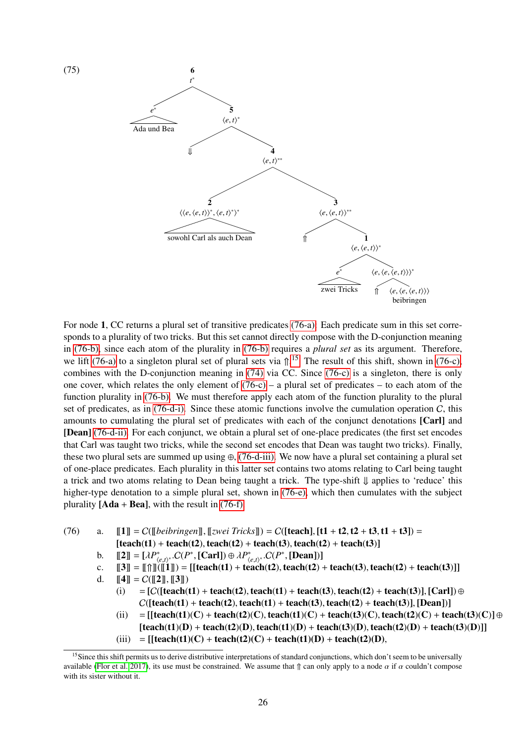

For node 1, CC returns a plural set of transitive predicates [\(76-a\):](#page-25-0) Each predicate sum in this set corresponds to a plurality of two tricks. But this set cannot directly compose with the D-conjunction meaning in [\(76-b\),](#page-25-1) since each atom of the plurality in [\(76-b\)](#page-25-1) requires a *plural set* as its argument. Therefore, we lift [\(76-a\)](#page-25-0) to a singleton plural set of plural sets via  $\hat{\mu}$ .<sup>[15](#page-25-2)</sup> The result of this shift, shown in [\(76-c\),](#page-25-3) combines with the D-conjunction meaning in [\(74\)](#page-24-0) via CC. Since [\(76-c\)](#page-25-3) is a singleton, there is only one cover, which relates the only element of  $(76-c)$  – a plural set of predicates – to each atom of the function plurality in [\(76-b\).](#page-25-1) We must therefore apply each atom of the function plurality to the plural set of predicates, as in  $(76-d-i)$ . Since these atomic functions involve the cumulation operation C, this amounts to cumulating the plural set of predicates with each of the conjunct denotations [Carl] and [Dean] [\(76-d-ii\).](#page-25-5) For each conjunct, we obtain a plural set of one-place predicates (the first set encodes that Carl was taught two tricks, while the second set encodes that Dean was taught two tricks). Finally, these two plural sets are summed up using  $\oplus$ , [\(76-d-iii\).](#page-25-6) We now have a plural set containing a plural set of one-place predicates. Each plurality in this latter set contains two atoms relating to Carl being taught a trick and two atoms relating to Dean being taught a trick. The type-shift ⇓ applies to 'reduce' this higher-type denotation to a simple plural set, shown in [\(76-e\),](#page-26-0) which then cumulates with the subject plurality  $[**Ada** + **Bea**],$  with the result in [\(76-f\).](#page-26-1)

- <span id="page-25-4"></span><span id="page-25-3"></span><span id="page-25-1"></span><span id="page-25-0"></span>(76) a.  $\llbracket 1 \rrbracket = C(\llbracket \text{beibringen} \rrbracket, \llbracket \text{Zwei } \text{Tricks} \rrbracket) = C(\llbracket \text{teach} \rrbracket, \llbracket t\bf{1} + t\bf{2}, t\bf{2} + t\bf{3}, t\bf{1} + t\bf{3}) ) =$  $[teach(t1) + teach(t2), teach(t2) + teach(t3), teach(t2) + teach(t3)]$ 
	- b.  $[[2]] = [\lambda P^*_{\langle e,t\rangle^*}. C(P^*, [\text{Carl}]) \oplus \lambda P^*_{\langle e,t\rangle^*}. C(P^*, [\text{Dean}])]$ <br>c  $[[3]] = [[0,0] + [[0,0] + [0,0] + [0,0] + [0,0] + [0,0] + [0,0] + [0,0] + [0,0] + [0,0] + [0,0] + [0,0] + [0,0] + [0,0] + [0,0] + [0,0] + [0,0] + [0,0] + [0,0] + [0,0] + [0,0] + [0,0] + [0,0] + [0,0] + [0,0] +$
	- $\begin{bmatrix}\n\mathbb{E} \\
	\mathbb{I} \\
	\mathbb{I} \\
	\mathbb{I}\n\end{bmatrix} = \n\begin{bmatrix}\n\mathbb{I} \\
	\mathbb{I} \\
	\mathbb{I} \\
	\mathbb{I}\n\end{bmatrix} = \n\begin{bmatrix}\n\mathbb{I} \\
	\mathbb{I} \\
	\mathbb{I}\n\end{bmatrix} = \n\begin{bmatrix}\n\mathbb{I} \\
	\mathbb{I} \\
	\mathbb{I}\n\end{bmatrix} = \n\begin{bmatrix}\n\mathbb{I} \\
	\mathbb{I} \\
	\mathbb{I}\n\end{bmatrix} = \n\begin{bmatrix}\n\mathbb{I} \\
	\mathbb{I} \\$
	- d.  $[[4]] = C([[2]], [[3]])$ <br>(i) = [C([teach(
		- $=[C([teach(t1) + teach(t2), teach(t1) + teach(t3), teach(t2) + teach(t3)], [Carl]) \oplus$  $C([teach(t1) + teach(t2), teach(t1) + teach(t3), teach(t2) + teach(t3)], [Dean])]$
		- (ii)  $=$   $[$ [teach(t1)(C) + teach(t2)(C), teach(t1)(C) + teach(t3)(C), teach(t2)(C) + teach(t3)(C)] ⊕  $[teach(t1)(D) + teach(t2)(D), teach(t1)(D) + teach(t3)(D), teach(t2)(D) + teach(t3)(D)]$
		- (iii) =  $[[teach(t1)(C) + teach(t2)(C) + teach(t1)(D) + teach(t2)(D),$

<span id="page-25-6"></span><span id="page-25-5"></span><span id="page-25-2"></span><sup>&</sup>lt;sup>15</sup>Since this shift permits us to derive distributive interpretations of standard conjunctions, which don't seem to be universally available [\(Flor et al. 2017\)](#page-34-10), its use must be constrained. We assume that  $\hat{\parallel}$  can only apply to a node  $\alpha$  if  $\alpha$  couldn't compose with its sister without it.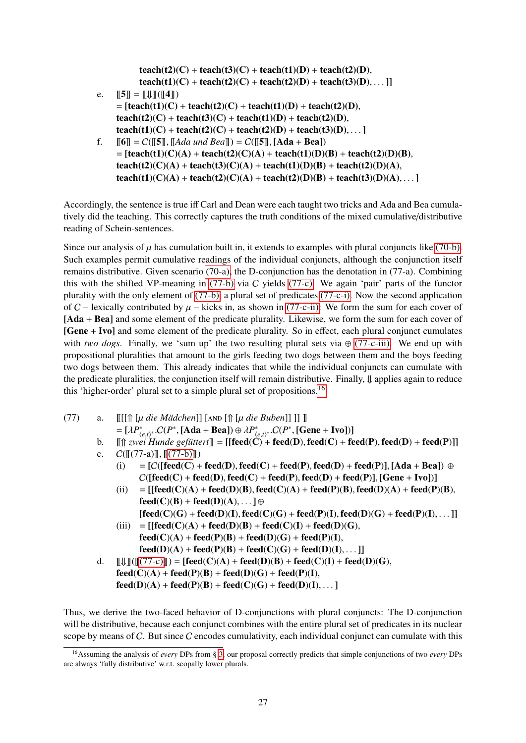$teach(t2)(C) + teach(t3)(C) + teach(t1)(D) + teach(t2)(D),$  $teach(t1)(C) + teach(t2)(C) + teach(t2)(D) + teach(t3)(D), ...$ ]

- <span id="page-26-0"></span>e.  $\|5\| = \| \text{unit}(14\|)$  $=$  [teach(t1)(C) + teach(t2)(C) + teach(t1)(D) + teach(t2)(D),  $teach(t2)(C) + teach(t3)(C) + teach(t1)(D) + teach(t2)(D),$  $teach(t1)(C) + teach(t2)(C) + teach(t2)(D) + teach(t3)(D), ...$
- <span id="page-26-1"></span>f.  $[\![6]\!] = C([\![5]\!], [\![Add \; und \; Bea]\!]) = C([\![5]\!], [\![Add + Bea]\!])$  $=$  [teach(t1)(C)(A) + teach(t2)(C)(A) + teach(t1)(D)(B) + teach(t2)(D)(B),  $teach(t2)(C)(A) + teach(t3)(C)(A) + teach(t1)(D)(B) + teach(t2)(D)(A),$  $teach(t1)(C)(A) + teach(t2)(C)(A) + teach(t2)(D)(B) + teach(t3)(D)(A), ...$

Accordingly, the sentence is true iff Carl and Dean were each taught two tricks and Ada and Bea cumulatively did the teaching. This correctly captures the truth conditions of the mixed cumulative/distributive reading of Schein-sentences.

Since our analysis of  $\mu$  has cumulation built in, it extends to examples with plural conjuncts like [\(70-b\).](#page-23-3) Such examples permit cumulative readings of the individual conjuncts, although the conjunction itself remains distributive. Given scenario [\(70-a\),](#page-23-1) the D-conjunction has the denotation in (77-a). Combining this with the shifted VP-meaning in [\(77-b\)](#page-26-2) via C yields [\(77-c\):](#page-26-3) We again 'pair' parts of the functor plurality with the only element of [\(77-b\),](#page-26-2) a plural set of predicates [\(77-c-i\).](#page-26-4) Now the second application of C – lexically contributed by  $\mu$  – kicks in, as shown in [\(77-c-ii\):](#page-26-5) We form the sum for each cover of [Ada + Bea] and some element of the predicate plurality. Likewise, we form the sum for each cover of [Gene + Ivo] and some element of the predicate plurality. So in effect, each plural conjunct cumulates with *two dogs*. Finally, we 'sum up' the two resulting plural sets via  $\oplus$  [\(77-c-iii\).](#page-26-6) We end up with propositional pluralities that amount to the girls feeding two dogs between them and the boys feeding two dogs between them. This already indicates that while the individual conjuncts can cumulate with the predicate pluralities, the conjunction itself will remain distributive. Finally, ⇓ applies again to reduce this 'higher-order' plural set to a simple plural set of propositions.[16](#page-26-7)

<span id="page-26-2"></span>(77) a. [[[[⇑ [µ *die Mädchen*]] [and [⇑ [µ *die Buben*]] ]] ]] <sup>=</sup> [λ*<sup>P</sup>* ∗ h*e*,*t*i ∗ .C(*<sup>P</sup>* ∗ , [Ada <sup>+</sup> Bea]) <sup>⊕</sup> λ*<sup>P</sup>* ∗ h*e*,*t*i ∗ .C(*<sup>P</sup>* ∗ , [Gene <sup>+</sup> Ivo])]

<span id="page-26-4"></span><span id="page-26-3"></span>b.  $\left[\left[\uparrow\right]$  *zwei Hunde gefüttert*  $\left[\right] = \left[\left[\text{feed}(\dot{C}) + \text{feed}(D), \text{feed}(C) + \text{feed}(P), \text{feed}(D) + \text{feed}(P)\right]\right]$ c.  $C([[(77-a)]], [[(77-b)]])$  $C([[(77-a)]], [[(77-b)]])$  $C([[(77-a)]], [[(77-b)]])$ <br>(i) =  $[C([feed(C) +$ 

- $=[C([feed(C) + feed(D), feed(C) + feed(P), feed(D) + feed(P)], [Ada + Bea]) \oplus$  $C([feed(C) + feed(D), feed(C) + feed(P), feed(D) + feed(P)], [Gene + Ivo])]$
- <span id="page-26-5"></span>(ii)  $=$  [[feed(C)(A) + feed(D)(B), feed(C)(A) + feed(P)(B), feed(D)(A) + feed(P)(B),  $feed(C)(B) + feed(D)(A), \ldots$ ] ⊕  $[feed(C)(G) + feed(D)(I), feed(C)(G) + feed(P)(I), feed(D)(G) + feed(P)(I), ... ]]$
- (iii)  $= [[feed(C)(A) + feed(D)(B) + feed(C)(I) + feed(D)(G),$  $feed(C)(A) + feed(P)(B) + feed(D)(G) + feed(P)(I),$  $feed(D)(A) + feed(P)(B) + feed(C)(G) + feed(D)(I), \ldots$
- <span id="page-26-6"></span>d.  $[\![\downarrow\!]]([\![(77-c)]]\!]) = [\text{feed}(C)(A) + \text{feed}(D)(B) + \text{feed}(C)(I) + \text{feed}(D)(G),$  $[\![\downarrow\!]]([\![(77-c)]]\!]) = [\text{feed}(C)(A) + \text{feed}(D)(B) + \text{feed}(C)(I) + \text{feed}(D)(G),$  $[\![\downarrow\!]]([\![(77-c)]]\!]) = [\text{feed}(C)(A) + \text{feed}(D)(B) + \text{feed}(C)(I) + \text{feed}(D)(G),$  $feed(C)(A) + feed(P)(B) + feed(D)(G) + feed(P)(I),$  $feed(D)(A) + feed(P)(B) + feed(C)(G) + feed(D)(I), ...$

Thus, we derive the two-faced behavior of D-conjunctions with plural conjuncts: The D-conjunction will be distributive, because each conjunct combines with the entire plural set of predicates in its nuclear scope by means of C. But since C encodes cumulativity, each individual conjunct can cumulate with this

<span id="page-26-7"></span><sup>16</sup>Assuming the analysis of *every* DPs from § [3,](#page-15-0) our proposal correctly predicts that simple conjunctions of two *every* DPs are always 'fully distributive' w.r.t. scopally lower plurals.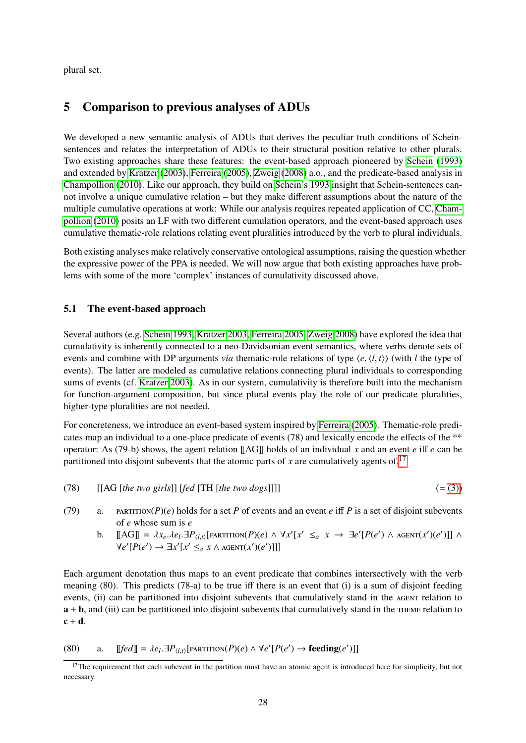plural set.

## <span id="page-27-0"></span>5 Comparison to previous analyses of ADUs

We developed a new semantic analysis of ADUs that derives the peculiar truth conditions of Scheinsentences and relates the interpretation of ADUs to their structural position relative to other plurals. Two existing approaches share these features: the event-based approach pioneered by [Schein](#page-35-0) [\(1993\)](#page-35-0) and extended by [Kratzer](#page-35-1) [\(2003\)](#page-35-1), [Ferreira](#page-34-0) [\(2005\)](#page-34-0), [Zweig](#page-36-0) [\(2008\)](#page-36-0) a.o., and the predicate-based analysis in [Champollion](#page-34-1) [\(2010\)](#page-34-1). Like our approach, they build on [Schein'](#page-35-0)s [1993](#page-35-0) insight that Schein-sentences cannot involve a unique cumulative relation – but they make different assumptions about the nature of the multiple cumulative operations at work: While our analysis requires repeated application of CC, [Cham](#page-34-1)[pollion](#page-34-1) [\(2010\)](#page-34-1) posits an LF with two different cumulation operators, and the event-based approach uses cumulative thematic-role relations relating event pluralities introduced by the verb to plural individuals.

Both existing analyses make relatively conservative ontological assumptions, raising the question whether the expressive power of the PPA is needed. We will now argue that both existing approaches have problems with some of the more 'complex' instances of cumulativity discussed above.

#### 5.1 The event-based approach

Several authors (e.g. [Schein 1993,](#page-35-0) [Kratzer 2003,](#page-35-1) [Ferreira 2005,](#page-34-0) [Zweig 2008\)](#page-36-0) have explored the idea that cumulativity is inherently connected to a neo-Davidsonian event semantics, where verbs denote sets of events and combine with DP arguments *via* thematic-role relations of type  $\langle e, \langle l, t \rangle \rangle$  (with *l* the type of events). The latter are modeled as cumulative relations connecting plural individuals to corresponding sums of events (cf. [Kratzer 2003\)](#page-35-1). As in our system, cumulativity is therefore built into the mechanism for function-argument composition, but since plural events play the role of our predicate pluralities, higher-type pluralities are not needed.

For concreteness, we introduce an event-based system inspired by [Ferreira](#page-34-0) [\(2005\)](#page-34-0). Thematic-role predicates map an individual to a one-place predicate of events (78) and lexically encode the effects of the \*\* operator: As (79-b) shows, the agent relation  $\left[\begin{bmatrix} A G \end{bmatrix}\right]$  holds of an individual *x* and an event *e* iff *e* can be partitioned into disjoint subevents that the atomic parts of  $x$  are cumulatively agents of.<sup>[17](#page-27-1)</sup>

$$
(78) \qquad [[AG [the two girls]] [fed [TH [the two dogs]]]] \qquad (=(3))
$$

- (79) a. partition( $P$ )(*e*) holds for a set *P* of events and an event *e* iff *P* is a set of disjoint subevents of *e* whose sum is *e*
	- b.  $[\![AG]\!] = \lambda x_e \cdot \lambda e_l \cdot \exists P_{\langle l,t \rangle} [\text{PARTITION}(P)(e) \wedge \forall x'[x' \leq_a x \rightarrow \exists e'[P(e') \wedge \text{AGENT}(x')(e')]] \wedge \forall x'[P(e') \rightarrow \exists x'[x' \leq x \wedge \text{AGENT}(x')(e')]]]$  $\forall e'[P(e') \rightarrow \exists x'[x' \leq_a x \land \text{AGENT}(x')(e')]]]$

Each argument denotation thus maps to an event predicate that combines intersectively with the verb meaning (80). This predicts (78-a) to be true iff there is an event that (i) is a sum of disjoint feeding events, (ii) can be partitioned into disjoint subevents that cumulatively stand in the AGENT relation to a + b, and (iii) can be partitioned into disjoint subevents that cumulatively stand in the theme relation to  $c + d$ .

(80) a.  $[[fed]] = \lambda e_l \cdot \exists P_{\langle l,t \rangle}[\text{PARTITION}(P)(e) \land \forall e'[P(e') \rightarrow \text{feedback'}]]]$ 

<span id="page-27-1"></span> $17$ The requirement that each subevent in the partition must have an atomic agent is introduced here for simplicity, but not necessary.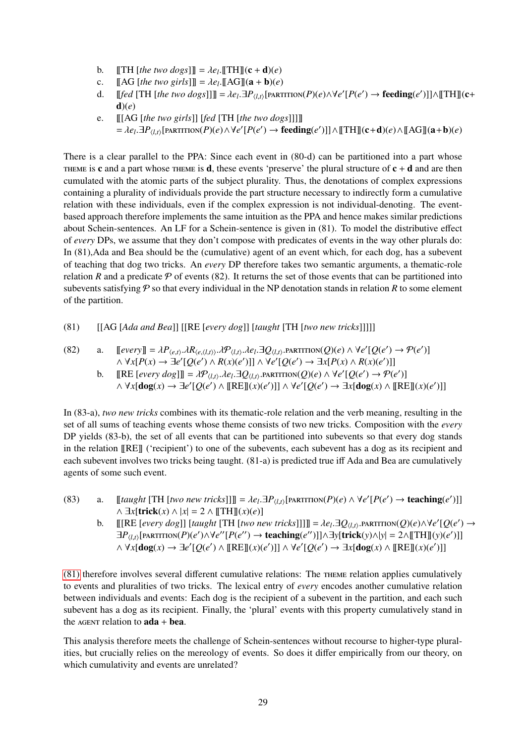- b.  $[\[\text{TH}]\] [the two dogs]\] = \lambda e_l \cdot [\[\text{TH}]\] (\mathbf{c} + \mathbf{d})(e)$ <br> $\[\text{A} \bigcap \{\text{the two girls}\}]= \lambda e_l \cdot [\[\text{AG}]\] (\mathbf{a} + \mathbf{b})(e)$
- c.  $\begin{bmatrix} [\text{AG} \text{[the two girls]}] = \lambda e_l \cdot [\text{[AG]}](a + b)(e) \end{bmatrix}$ <br>d.  $\begin{bmatrix} [\text{fed} \text{[TH} \text{[the type does}]] \end{bmatrix} = \lambda e_l \cdot \exists P_{l+1} [\text{bner}]$
- d. [*fed* [TH [*the two dogs*]]]] =  $\lambda e_l \cdot \exists P_{\langle l,t \rangle}$ [PARTITION(*P*)(*e*) $\land \forall e' [P(e') \rightarrow \textbf{feedback'}]] \land$ [[TH]](**c**+  $d)(e)$
- e. [[[AG [*the two girls*]] [*fed* [TH [*the two dogs*]]]]]  $= \lambda e_l \cdot \exists P_{\langle l,t \rangle}[\text{PARTITION}(P)(e) \land \forall e'[P(e') \rightarrow \text{feedback}')] \land [[\text{TH}]](c+d)(e) \land [[\text{AG}]](a+b)(e)$

There is a clear parallel to the PPA: Since each event in (80-d) can be partitioned into a part whose THEME is c and a part whose THEME is d, these events 'preserve' the plural structure of  $c + d$  and are then cumulated with the atomic parts of the subject plurality. Thus, the denotations of complex expressions containing a plurality of individuals provide the part structure necessary to indirectly form a cumulative relation with these individuals, even if the complex expression is not individual-denoting. The eventbased approach therefore implements the same intuition as the PPA and hence makes similar predictions about Schein-sentences. An LF for a Schein-sentence is given in (81). To model the distributive effect of *every* DPs, we assume that they don't compose with predicates of events in the way other plurals do: In (81),Ada and Bea should be the (cumulative) agent of an event which, for each dog, has a subevent of teaching that dog two tricks. An *every* DP therefore takes two semantic arguments, a thematic-role relation *R* and a predicate  $P$  of events (82). It returns the set of those events that can be partitioned into subevents satisfying  $P$  so that every individual in the NP denotation stands in relation  $R$  to some element of the partition.

<span id="page-28-0"></span>(81) [[AG [*Ada and Bea*]] [[RE [*every dog*]] [*taught* [TH [*two new tricks*]]]]]

(82) a. 
$$
\llbracket \text{every} \rrbracket = \lambda P_{\langle e,t \rangle} \cdot \lambda R_{\langle e,\langle l,t \rangle \rangle} \cdot \lambda P_{\langle l,t \rangle} \cdot \lambda e_l \cdot \exists Q_{\langle l,t \rangle} \cdot \text{PARTITION}(Q)(e) \land \forall e' [Q(e') \rightarrow \mathcal{P}(e')] \land \forall x [P(x) \rightarrow \exists e' [Q(e') \land R(x)(e')]] \land \forall e' [Q(e') \rightarrow \exists x [P(x) \land R(x)(e')]]
$$

b.  $[\[RE [every dog]]] = \lambda \mathcal{P}_{\langle l,t \rangle}, \lambda e_l \cdot \exists Q_{\langle l,t \rangle} \cdot \text{PARTITION}(Q)(e) \wedge \forall e' [Q(e') \rightarrow \mathcal{P}(e')]$ <br>  $\wedge \forall x [dog(x) \rightarrow \exists e' [Q(e') \wedge \text{IDFRI}(x)(e')] \wedge \forall e' [O(e') \rightarrow \exists x [dog(x) \wedge \text{IDRFI}](e')]$  $\land \forall x[\text{dog}(x) \rightarrow \exists e' [Q(e') \land [\![RE]\!](x)(e')] \land \forall e' [Q(e') \rightarrow \exists x[\text{dog}(x) \land [\![RE]\!](x)(e')]$ 

In (83-a), *two new tricks* combines with its thematic-role relation and the verb meaning, resulting in the set of all sums of teaching events whose theme consists of two new tricks. Composition with the *every* DP yields (83-b), the set of all events that can be partitioned into subevents so that every dog stands in the relation [[RE]] ('recipient') to one of the subevents, each subevent has a dog as its recipient and each subevent involves two tricks being taught. (81-a) is predicted true iff Ada and Bea are cumulatively agents of some such event.

- (83) a.  $[[taught [TH [two new tricks]]] = \lambda e_l \exists P_{\langle l,t \rangle}[\text{PARTITION}(P)(e) \land \forall e'[P(e') \rightarrow \text{teaching}(e')]]$ <br> $\land \exists r[\text{trick}(r) \land |r| = 2 \land \text{ITHH}(r)(e)]$ ∧ ∃*x*[trick(*x*) ∧ |*x*| = 2 ∧ [[TH]](*x*)(*e*)]
	- b. [[RE [*every dog*]] [*taught* [TH [*two new tricks*]]]]] =  $\lambda e_l \cdot \exists Q_{\langle l,t \rangle}$ . PARTITION(*Q*)(*e*) $\wedge \forall e' [Q(e') \rightarrow \exists P_{\langle l,t \rangle}$ . [PAPTITON(*P*)(*e*') $\wedge \forall e' |Q(e') \rightarrow \exists P_{\langle l,t \rangle}$ . [PAPTITON(*P*)(*e'*) $\wedge \forall e' |Q(e') \rightarrow \exists P_{\langle l,t \$  $\exists P_{\langle l,t \rangle}$ [PARTITION(*P*)(*e*')∧∀*e''*[ $P(e'') \rightarrow$  teaching(*e''*)]]∧∃y[trick(y)∧|y| = 2∧[[TH]](y)(e')]]]  $\land \forall x [\text{dog}(x) \rightarrow \exists e' [Q(e') \land [\![RE]\!](x)(e')] \land \forall e' [Q(e') \rightarrow \exists x [\text{dog}(x) \land [\![RE]\!](x)(e')]$

[\(81\)](#page-28-0) therefore involves several different cumulative relations: The theme relation applies cumulatively to events and pluralities of two tricks. The lexical entry of *every* encodes another cumulative relation between individuals and events: Each dog is the recipient of a subevent in the partition, and each such subevent has a dog as its recipient. Finally, the 'plural' events with this property cumulatively stand in the  $AGENT$  relation to  $ada + bea$ .

This analysis therefore meets the challenge of Schein-sentences without recourse to higher-type pluralities, but crucially relies on the mereology of events. So does it differ empirically from our theory, on which cumulativity and events are unrelated?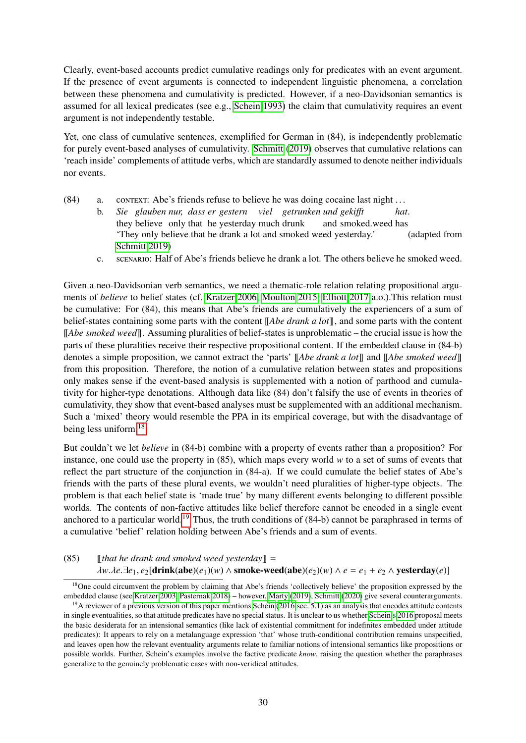Clearly, event-based accounts predict cumulative readings only for predicates with an event argument. If the presence of event arguments is connected to independent linguistic phenomena, a correlation between these phenomena and cumulativity is predicted. However, if a neo-Davidsonian semantics is assumed for all lexical predicates (see e.g., [Schein 1993\)](#page-35-0) the claim that cumulativity requires an event argument is not independently testable.

Yet, one class of cumulative sentences, exemplified for German in (84), is independently problematic for purely event-based analyses of cumulativity. [Schmitt](#page-36-1) [\(2019\)](#page-36-1) observes that cumulative relations can 'reach inside' complements of attitude verbs, which are standardly assumed to denote neither individuals nor events.

- (84) a. context: Abe's friends refuse to believe he was doing cocaine last night . . .
	- b. *Sie glauben nur, dass er gestern viel getrunken und geki*ff*t* they believe only that he yesterday much drunk and smoked.weed has *hat*. 'They only believe that he drank a lot and smoked weed yesterday.' (adapted from [Schmitt 2019\)](#page-36-1)
	- c. scenario: Half of Abe's friends believe he drank a lot. The others believe he smoked weed.

Given a neo-Davidsonian verb semantics, we need a thematic-role relation relating propositional arguments of *believe* to belief states (cf. [Kratzer 2006,](#page-35-11) [Moulton 2015,](#page-35-12) [Elliott 2017](#page-34-12) a.o.).This relation must be cumulative: For (84), this means that Abe's friends are cumulatively the experiencers of a sum of belief-states containing some parts with the content [[*Abe drank a lot*]], and some parts with the content [[*Abe smoked weed*]]. Assuming pluralities of belief-states is unproblematic – the crucial issue is how the parts of these pluralities receive their respective propositional content. If the embedded clause in (84-b) denotes a simple proposition, we cannot extract the 'parts' [[*Abe drank a lot*]] and [[*Abe smoked weed*]] from this proposition. Therefore, the notion of a cumulative relation between states and propositions only makes sense if the event-based analysis is supplemented with a notion of parthood and cumulativity for higher-type denotations. Although data like (84) don't falsify the use of events in theories of cumulativity, they show that event-based analyses must be supplemented with an additional mechanism. Such a 'mixed' theory would resemble the PPA in its empirical coverage, but with the disadvantage of being less uniform.[18](#page-29-0)

But couldn't we let *believe* in (84-b) combine with a property of events rather than a proposition? For instance, one could use the property in  $(85)$ , which maps every world *w* to a set of sums of events that reflect the part structure of the conjunction in (84-a). If we could cumulate the belief states of Abe's friends with the parts of these plural events, we wouldn't need pluralities of higher-type objects. The problem is that each belief state is 'made true' by many different events belonging to different possible worlds. The contents of non-factive attitudes like belief therefore cannot be encoded in a single event anchored to a particular world.<sup>[19](#page-29-1)</sup> Thus, the truth conditions of  $(84-b)$  cannot be paraphrased in terms of a cumulative 'belief' relation holding between Abe's friends and a sum of events.

(85) [[*that he drank and smoked weed yesterday*]] = *λw.λe*.∃*e*<sub>1</sub>, *e*<sub>2</sub>[drink(abe)(*e*<sub>1</sub>)(*w*) ∧ smoke-weed(abe)(*e*<sub>2</sub>)(*w*) ∧ *e* = *e*<sub>1</sub> + *e*<sub>2</sub> ∧ yesterday(*e*)]

<span id="page-29-0"></span><sup>&</sup>lt;sup>18</sup>One could circumvent the problem by claiming that Abe's friends 'collectively believe' the proposition expressed by the embedded clause (see [Kratzer 2003,](#page-35-1) [Pasternak 2018\)](#page-35-13) – however, [Marty](#page-35-14) [\(2019\)](#page-35-14), [Schmitt](#page-36-4) [\(2020\)](#page-36-4) give several counterarguments.

<span id="page-29-1"></span><sup>&</sup>lt;sup>19</sup>A reviewer of a previous version of this paper mentions [Schein](#page-36-7) [\(2016:](#page-36-7)sec. 5.1) as an analysis that encodes attitude contents in single eventualities, so that attitude predicates have no special status. It is unclear to us whether [Schein'](#page-36-7)s [2016](#page-36-7) proposal meets the basic desiderata for an intensional semantics (like lack of existential commitment for indefinites embedded under attitude predicates): It appears to rely on a metalanguage expression 'that' whose truth-conditional contribution remains unspecified, and leaves open how the relevant eventuality arguments relate to familiar notions of intensional semantics like propositions or possible worlds. Further, Schein's examples involve the factive predicate *know*, raising the question whether the paraphrases generalize to the genuinely problematic cases with non-veridical attitudes.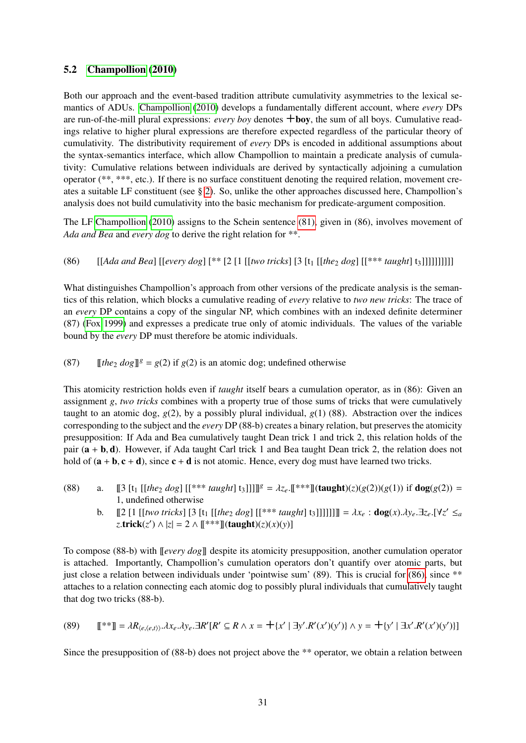### 5.2 [Champollion](#page-34-1) [\(2010\)](#page-34-1)

Both our approach and the event-based tradition attribute cumulativity asymmetries to the lexical semantics of ADUs. [Champollion](#page-34-1) [\(2010\)](#page-34-1) develops a fundamentally different account, where *every* DPs are run-of-the-mill plural expressions: *every boy* denotes +boy, the sum of all boys. Cumulative readings relative to higher plural expressions are therefore expected regardless of the particular theory of cumulativity. The distributivity requirement of *every* DPs is encoded in additional assumptions about the syntax-semantics interface, which allow Champollion to maintain a predicate analysis of cumulativity: Cumulative relations between individuals are derived by syntactically adjoining a cumulation operator (\*\*, \*\*\*, etc.). If there is no surface constituent denoting the required relation, movement creates a suitable LF constituent (see § [2\)](#page-3-2). So, unlike the other approaches discussed here, Champollion's analysis does not build cumulativity into the basic mechanism for predicate-argument composition.

The LF [Champollion](#page-34-1) [\(2010\)](#page-34-1) assigns to the Schein sentence [\(81\),](#page-28-0) given in (86), involves movement of *Ada and Bea* and *every dog* to derive the right relation for \*\*.

<span id="page-30-0"></span>(86) [[*Ada and Bea*] [[*every dog*] [\*\* [2 [1 [[*two tricks*] [3 [t<sub>1</sub> [[*the*<sub>2</sub> *dog*] [[\*\*\* *taught*] t<sub>3</sub>]]]]]]]]]]]]

What distinguishes Champollion's approach from other versions of the predicate analysis is the semantics of this relation, which blocks a cumulative reading of *every* relative to *two new tricks*: The trace of an *every* DP contains a copy of the singular NP, which combines with an indexed definite determiner (87) [\(Fox 1999\)](#page-34-13) and expresses a predicate true only of atomic individuals. The values of the variable bound by the *every* DP must therefore be atomic individuals.

(87)  $[the_2 dog]$ <sup>g</sup> =  $g(2)$  if  $g(2)$  is an atomic dog; undefined otherwise

This atomicity restriction holds even if *taught* itself bears a cumulation operator, as in (86): Given an assignment *g*, *two tricks* combines with a property true of those sums of tricks that were cumulatively taught to an atomic dog,  $g(2)$ , by a possibly plural individual,  $g(1)$  (88). Abstraction over the indices corresponding to the subject and the *every* DP (88-b) creates a binary relation, but preserves the atomicity presupposition: If Ada and Bea cumulatively taught Dean trick 1 and trick 2, this relation holds of the pair  $(a + b, d)$ . However, if Ada taught Carl trick 1 and Bea taught Dean trick 2, the relation does not hold of  $(a + b, c + d)$ , since  $c + d$  is not atomic. Hence, every dog must have learned two tricks.

- (88) a. [[3 [t<sub>1</sub> [[the<sub>2</sub> dog] [[\*\*\* taught] t<sub>3</sub>]]]]]<sup>g</sup> =  $\lambda z_e$ .[[\*\*\*]](taught)(*z*)(*g*(2))(*g*(1)) if dog(*g*(2)) = 1, undefined otherwise
	- b.  $[2 [1 [[two tricks] [3 [t<sub>1</sub> [[the<sub>2</sub> dog] [[*** taught] t<sub>3</sub>]]]]]]] = \lambda x_e : \text{dog}(x) \ldots y_e \cdot \exists z_e \cdot [ \forall z' \leq a$ <br>  $\tau \text{trick}(z') \wedge |z| = 2 \wedge \mathbb{I} \cdot \text{dim}(A) \cdot \text{dim}(z)(x)(y)$  $z$ **.trick**(*z'*)  $\wedge$  |*z*| = 2  $\wedge$  [[\*\*\*]](taught)(*z*)(*x*)(*y*)]

To compose (88-b) with [[*every dog*]] despite its atomicity presupposition, another cumulation operator is attached. Importantly, Champollion's cumulation operators don't quantify over atomic parts, but just close a relation between individuals under 'pointwise sum' (89). This is crucial for [\(86\),](#page-30-0) since \*\* attaches to a relation connecting each atomic dog to possibly plural individuals that cumulatively taught that dog two tricks (88-b).

(89) 
$$
\mathbb{I}^{**}\mathbb{I} = \lambda R_{\langle e,\langle e,t\rangle\rangle}.\lambda x_e.\lambda y_e.\exists R'[R' \subseteq R \land x = +\{x' \mid \exists y'.R'(x')(y')\} \land y = +\{y' \mid \exists x'.R'(x')(y')\}]
$$

Since the presupposition of (88-b) does not project above the \*\* operator, we obtain a relation between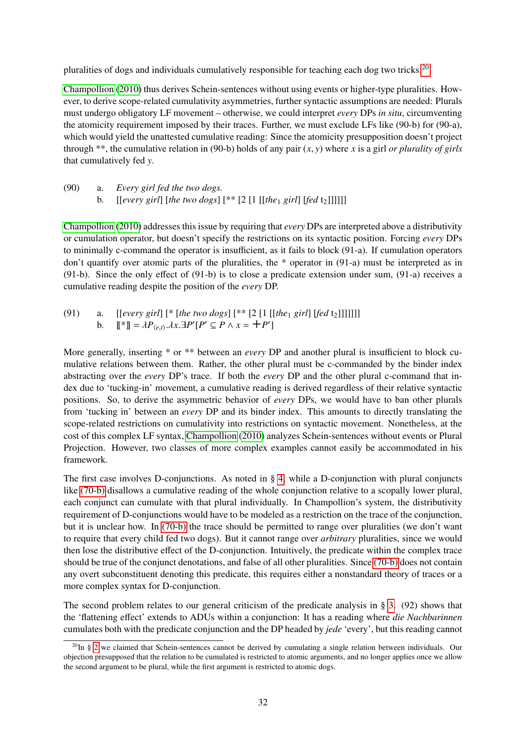pluralities of dogs and individuals cumulatively responsible for teaching each dog two tricks.<sup>[20](#page-31-0)</sup>

[Champollion](#page-34-1) [\(2010\)](#page-34-1) thus derives Schein-sentences without using events or higher-type pluralities. However, to derive scope-related cumulativity asymmetries, further syntactic assumptions are needed: Plurals must undergo obligatory LF movement – otherwise, we could interpret *every* DPs *in situ*, circumventing the atomicity requirement imposed by their traces. Further, we must exclude LFs like (90-b) for (90-a), which would yield the unattested cumulative reading: Since the atomicity presupposition doesn't project through \*\*, the cumulative relation in (90-b) holds of any pair (*x*, *<sup>y</sup>*) where *<sup>x</sup>* is a girl *or plurality of girls* that cumulatively fed *y*.

(90) a. *Every girl fed the two dogs.* b.  $[[every\, girl]\, [the\, two\, dogs]\, [ ** [2 [1 [[the<sub>1</sub> girl]\, [fed\, t<sub>2</sub>$ 

[Champollion](#page-34-1) [\(2010\)](#page-34-1) addresses this issue by requiring that *every* DPs are interpreted above a distributivity or cumulation operator, but doesn't specify the restrictions on its syntactic position. Forcing *every* DPs to minimally c-command the operator is insufficient, as it fails to block (91-a). If cumulation operators don't quantify over atomic parts of the pluralities, the \* operator in (91-a) must be interpreted as in (91-b). Since the only effect of (91-b) is to close a predicate extension under sum, (91-a) receives a cumulative reading despite the position of the *every* DP.

(91) a. [[every girl][\* [the two dogs][\*\*[2 [1 [[the<sub>1</sub> girl] [fed t<sub>2</sub>]]]]]]  
b. 
$$
[\mathbb{I}^*] = \lambda P_{\langle e,t \rangle} \cdot \lambda x. \exists P'[P' \subseteq P \land x = +P']
$$

More generally, inserting \* or \*\* between an *every* DP and another plural is insufficient to block cumulative relations between them. Rather, the other plural must be c-commanded by the binder index abstracting over the *every* DP's trace. If both the *every* DP and the other plural c-command that index due to 'tucking-in' movement, a cumulative reading is derived regardless of their relative syntactic positions. So, to derive the asymmetric behavior of *every* DPs, we would have to ban other plurals from 'tucking in' between an *every* DP and its binder index. This amounts to directly translating the scope-related restrictions on cumulativity into restrictions on syntactic movement. Nonetheless, at the cost of this complex LF syntax, [Champollion](#page-34-1) [\(2010\)](#page-34-1) analyzes Schein-sentences without events or Plural Projection. However, two classes of more complex examples cannot easily be accommodated in his framework.

The first case involves D-conjunctions. As noted in § [4,](#page-21-0) while a D-conjunction with plural conjuncts like [\(70-b\)](#page-23-3) disallows a cumulative reading of the whole conjunction relative to a scopally lower plural, each conjunct can cumulate with that plural individually. In Champollion's system, the distributivity requirement of D-conjunctions would have to be modeled as a restriction on the trace of the conjunction, but it is unclear how. In [\(70-b\)](#page-23-3) the trace should be permitted to range over pluralities (we don't want to require that every child fed two dogs). But it cannot range over *arbitrary* pluralities, since we would then lose the distributive effect of the D-conjunction. Intuitively, the predicate within the complex trace should be true of the conjunct denotations, and false of all other pluralities. Since [\(70-b\)](#page-23-3) does not contain any overt subconstituent denoting this predicate, this requires either a nonstandard theory of traces or a more complex syntax for D-conjunction.

The second problem relates to our general criticism of the predicate analysis in § [3.](#page-15-0) (92) shows that the 'flattening effect' extends to ADUs within a conjunction: It has a reading where *die Nachbarinnen* cumulates both with the predicate conjunction and the DP headed by *jede* 'every', but this reading cannot

<span id="page-31-0"></span> $^{20}$ In § [2](#page-3-2) we claimed that Schein-sentences cannot be derived by cumulating a single relation between individuals. Our objection presupposed that the relation to be cumulated is restricted to atomic arguments, and no longer applies once we allow the second argument to be plural, while the first argument is restricted to atomic dogs.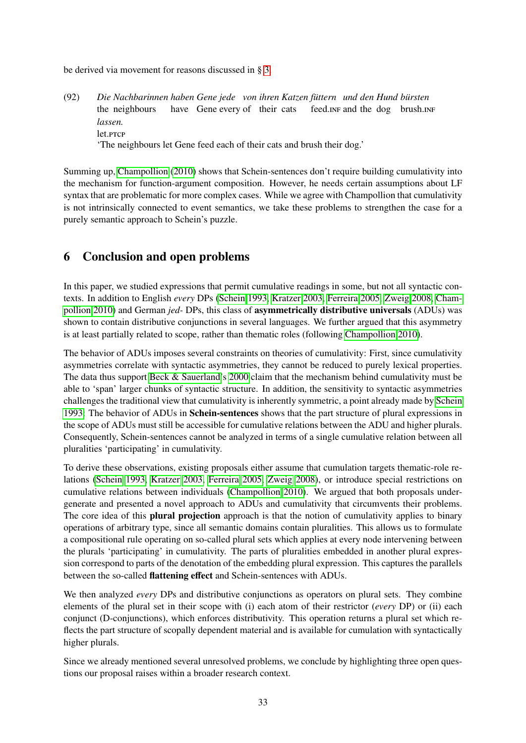be derived via movement for reasons discussed in § [3.](#page-15-0)

 $(92)$ the neighbours *Nachbarinnen haben Gene jede von ihren Katzen füttern und den Hund bürsten* have Gene every of their cats feed.in F and the dog brush.in *lassen.* let.<sub>PTCP</sub> 'The neighbours let Gene feed each of their cats and brush their dog.'

Summing up, [Champollion](#page-34-1) [\(2010\)](#page-34-1) shows that Schein-sentences don't require building cumulativity into the mechanism for function-argument composition. However, he needs certain assumptions about LF syntax that are problematic for more complex cases. While we agree with Champollion that cumulativity is not intrinsically connected to event semantics, we take these problems to strengthen the case for a purely semantic approach to Schein's puzzle.

## <span id="page-32-0"></span>6 Conclusion and open problems

In this paper, we studied expressions that permit cumulative readings in some, but not all syntactic contexts. In addition to English *every* DPs [\(Schein 1993,](#page-35-0) [Kratzer 2003,](#page-35-1) [Ferreira 2005,](#page-34-0) [Zweig 2008,](#page-36-0) [Cham](#page-34-1)[pollion 2010\)](#page-34-1) and German *jed-* DPs, this class of asymmetrically distributive universals (ADUs) was shown to contain distributive conjunctions in several languages. We further argued that this asymmetry is at least partially related to scope, rather than thematic roles (following [Champollion 2010\)](#page-34-1).

The behavior of ADUs imposes several constraints on theories of cumulativity: First, since cumulativity asymmetries correlate with syntactic asymmetries, they cannot be reduced to purely lexical properties. The data thus support [Beck & Sauerland'](#page-33-0)s [2000](#page-33-0) claim that the mechanism behind cumulativity must be able to 'span' larger chunks of syntactic structure. In addition, the sensitivity to syntactic asymmetries challenges the traditional view that cumulativity is inherently symmetric, a point already made by [Schein](#page-35-0) [1993:](#page-35-0) The behavior of ADUs in **Schein-sentences** shows that the part structure of plural expressions in the scope of ADUs must still be accessible for cumulative relations between the ADU and higher plurals. Consequently, Schein-sentences cannot be analyzed in terms of a single cumulative relation between all pluralities 'participating' in cumulativity.

To derive these observations, existing proposals either assume that cumulation targets thematic-role relations [\(Schein 1993,](#page-35-0) [Kratzer 2003,](#page-35-1) [Ferreira 2005,](#page-34-0) [Zweig 2008\)](#page-36-0), or introduce special restrictions on cumulative relations between individuals [\(Champollion 2010\)](#page-34-1). We argued that both proposals undergenerate and presented a novel approach to ADUs and cumulativity that circumvents their problems. The core idea of this **plural projection** approach is that the notion of cumulativity applies to binary operations of arbitrary type, since all semantic domains contain pluralities. This allows us to formulate a compositional rule operating on so-called plural sets which applies at every node intervening between the plurals 'participating' in cumulativity. The parts of pluralities embedded in another plural expression correspond to parts of the denotation of the embedding plural expression. This captures the parallels between the so-called flattening effect and Schein-sentences with ADUs.

We then analyzed *every* DPs and distributive conjunctions as operators on plural sets. They combine elements of the plural set in their scope with (i) each atom of their restrictor (*every* DP) or (ii) each conjunct (D-conjunctions), which enforces distributivity. This operation returns a plural set which reflects the part structure of scopally dependent material and is available for cumulation with syntactically higher plurals.

Since we already mentioned several unresolved problems, we conclude by highlighting three open questions our proposal raises within a broader research context.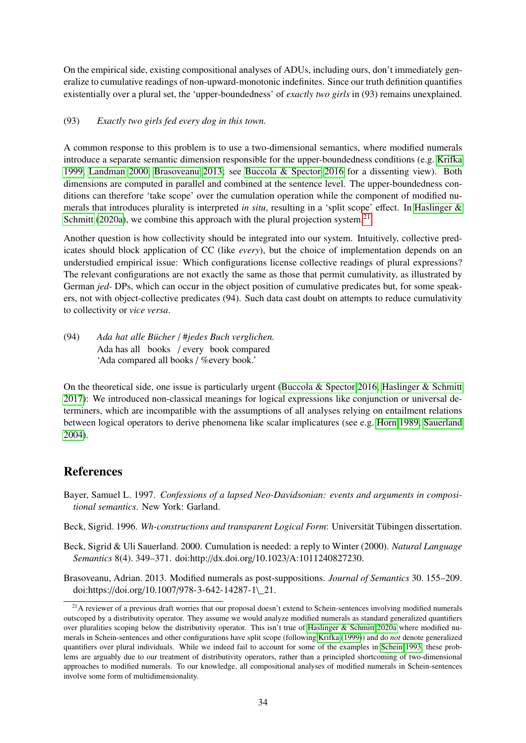On the empirical side, existing compositional analyses of ADUs, including ours, don't immediately generalize to cumulative readings of non-upward-monotonic indefinites. Since our truth definition quantifies existentially over a plural set, the 'upper-boundedness' of *exactly two girls* in (93) remains unexplained.

#### (93) *Exactly two girls fed every dog in this town.*

A common response to this problem is to use a two-dimensional semantics, where modified numerals introduce a separate semantic dimension responsible for the upper-boundedness conditions (e.g. [Krifka](#page-35-15) [1999,](#page-35-15) [Landman 2000,](#page-35-16) [Brasoveanu 2013;](#page-33-3) see [Buccola & Spector 2016](#page-34-14) for a dissenting view). Both dimensions are computed in parallel and combined at the sentence level. The upper-boundedness conditions can therefore 'take scope' over the cumulation operation while the component of modified numerals that introduces plurality is interpreted *in situ*, resulting in a 'split scope' effect. In [Haslinger &](#page-34-15) [Schmitt](#page-34-15) [\(2020a\)](#page-34-15), we combine this approach with the plural projection system.<sup>[21](#page-33-4)</sup>

Another question is how collectivity should be integrated into our system. Intuitively, collective predicates should block application of CC (like *every*), but the choice of implementation depends on an understudied empirical issue: Which configurations license collective readings of plural expressions? The relevant configurations are not exactly the same as those that permit cumulativity, as illustrated by German *jed-* DPs, which can occur in the object position of cumulative predicates but, for some speakers, not with object-collective predicates (94). Such data cast doubt on attempts to reduce cumulativity to collectivity or *vice versa*.

(94) *Ada hat alle Bücher* / #*jedes Buch verglichen.* Ada has all books / every book compared 'Ada compared all books / %every book.'

On the theoretical side, one issue is particularly urgent [\(Buccola & Spector 2016,](#page-34-14) [Haslinger & Schmitt](#page-34-16) [2017\)](#page-34-16): We introduced non-classical meanings for logical expressions like conjunction or universal determiners, which are incompatible with the assumptions of all analyses relying on entailment relations between logical operators to derive phenomena like scalar implicatures (see e.g. [Horn 1989,](#page-35-17) [Sauerland](#page-35-18) [2004\)](#page-35-18).

## **References**

- <span id="page-33-1"></span>Bayer, Samuel L. 1997. *Confessions of a lapsed Neo-Davidsonian: events and arguments in compositional semantics*. New York: Garland.
- <span id="page-33-2"></span>Beck, Sigrid. 1996. *Wh-constructions and transparent Logical Form*: Universität Tübingen dissertation.
- <span id="page-33-0"></span>Beck, Sigrid & Uli Sauerland. 2000. Cumulation is needed: a reply to Winter (2000). *Natural Language Semantics* 8(4). 349–371. doi:http://dx.doi.org/10.1023/A:1011240827230.

<span id="page-33-3"></span>Brasoveanu, Adrian. 2013. Modified numerals as post-suppositions. *Journal of Semantics* 30. 155–209. doi:https://doi.org/10.1007/978-3-642-14287-1\\_21.

<span id="page-33-4"></span> $21A$  reviewer of a previous draft worries that our proposal doesn't extend to Schein-sentences involving modified numerals outscoped by a distributivity operator. They assume we would analyze modified numerals as standard generalized quantifiers over pluralities scoping below the distributivity operator. This isn't true of [Haslinger & Schmitt 2020a](#page-34-15) where modified numerals in Schein-sentences and other configurations have split scope (following [Krifka](#page-35-15) [\(1999\)](#page-35-15)) and do *not* denote generalized quantifiers over plural individuals. While we indeed fail to account for some of the examples in [Schein 1993,](#page-35-0) these problems are arguably due to our treatment of distributivity operators, rather than a principled shortcoming of two-dimensional approaches to modified numerals. To our knowledge, all compositional analyses of modified numerals in Schein-sentences involve some form of multidimensionality.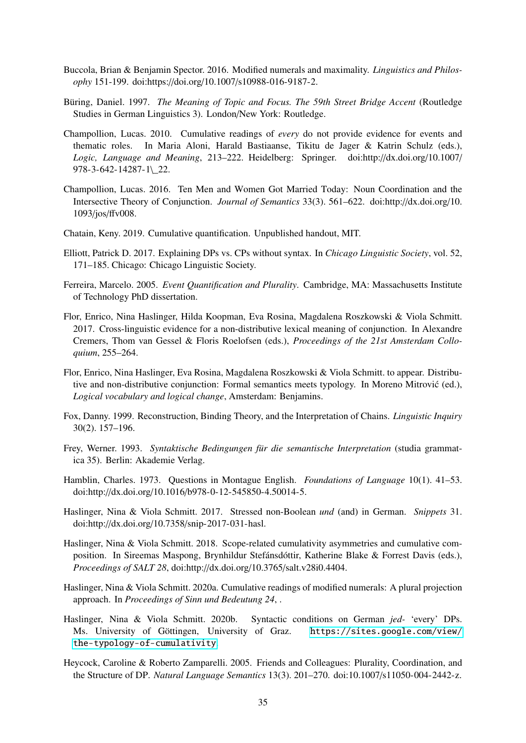- <span id="page-34-14"></span>Buccola, Brian & Benjamin Spector. 2016. Modified numerals and maximality. *Linguistics and Philosophy* 151-199. doi:https://doi.org/10.1007/s10988-016-9187-2.
- <span id="page-34-7"></span>Büring, Daniel. 1997. *The Meaning of Topic and Focus. The 59th Street Bridge Accent* (Routledge Studies in German Linguistics 3). London/New York: Routledge.
- <span id="page-34-1"></span>Champollion, Lucas. 2010. Cumulative readings of *every* do not provide evidence for events and thematic roles. In Maria Aloni, Harald Bastiaanse, Tikitu de Jager & Katrin Schulz (eds.), *Logic, Language and Meaning*, 213–222. Heidelberg: Springer. doi:http://dx.doi.org/10.1007/ 978-3-642-14287-1\\_22.
- <span id="page-34-5"></span>Champollion, Lucas. 2016. Ten Men and Women Got Married Today: Noun Coordination and the Intersective Theory of Conjunction. *Journal of Semantics* 33(3). 561–622. doi:http://dx.doi.org/10. 1093/jos/ffv008.
- <span id="page-34-9"></span>Chatain, Keny. 2019. Cumulative quantification. Unpublished handout, MIT.
- <span id="page-34-12"></span>Elliott, Patrick D. 2017. Explaining DPs vs. CPs without syntax. In *Chicago Linguistic Society*, vol. 52, 171–185. Chicago: Chicago Linguistic Society.
- <span id="page-34-0"></span>Ferreira, Marcelo. 2005. *Event Quantification and Plurality*. Cambridge, MA: Massachusetts Institute of Technology PhD dissertation.
- <span id="page-34-10"></span>Flor, Enrico, Nina Haslinger, Hilda Koopman, Eva Rosina, Magdalena Roszkowski & Viola Schmitt. 2017. Cross-linguistic evidence for a non-distributive lexical meaning of conjunction. In Alexandre Cremers, Thom van Gessel & Floris Roelofsen (eds.), *Proceedings of the 21st Amsterdam Colloquium*, 255–264.
- <span id="page-34-11"></span>Flor, Enrico, Nina Haslinger, Eva Rosina, Magdalena Roszkowski & Viola Schmitt. to appear. Distributive and non-distributive conjunction: Formal semantics meets typology. In Moreno Mitrovic (ed.), ´ *Logical vocabulary and logical change*, Amsterdam: Benjamins.
- <span id="page-34-13"></span>Fox, Danny. 1999. Reconstruction, Binding Theory, and the Interpretation of Chains. *Linguistic Inquiry* 30(2). 157–196.
- <span id="page-34-6"></span>Frey, Werner. 1993. *Syntaktische Bedingungen für die semantische Interpretation* (studia grammatica 35). Berlin: Akademie Verlag.
- <span id="page-34-3"></span>Hamblin, Charles. 1973. Questions in Montague English. *Foundations of Language* 10(1). 41–53. doi:http://dx.doi.org/10.1016/b978-0-12-545850-4.50014-5.
- <span id="page-34-16"></span>Haslinger, Nina & Viola Schmitt. 2017. Stressed non-Boolean *und* (and) in German. *Snippets* 31. doi:http://dx.doi.org/10.7358/snip-2017-031-hasl.
- <span id="page-34-2"></span>Haslinger, Nina & Viola Schmitt. 2018. Scope-related cumulativity asymmetries and cumulative composition. In Sireemas Maspong, Brynhildur Stefánsdóttir, Katherine Blake & Forrest Davis (eds.), *Proceedings of SALT 28*, doi:http://dx.doi.org/10.3765/salt.v28i0.4404.
- <span id="page-34-15"></span>Haslinger, Nina & Viola Schmitt. 2020a. Cumulative readings of modified numerals: A plural projection approach. In *Proceedings of Sinn und Bedeutung 24*, .
- <span id="page-34-8"></span>Haslinger, Nina & Viola Schmitt. 2020b. Syntactic conditions on German *jed-* 'every' DPs. Ms. University of Göttingen, University of Graz. [https://sites.google.com/view/](https://sites.google.com/view/the-typology-of-cumulativity) [the-typology-of-cumulativity](https://sites.google.com/view/the-typology-of-cumulativity).
- <span id="page-34-4"></span>Heycock, Caroline & Roberto Zamparelli. 2005. Friends and Colleagues: Plurality, Coordination, and the Structure of DP. *Natural Language Semantics* 13(3). 201–270. doi:10.1007/s11050-004-2442-z.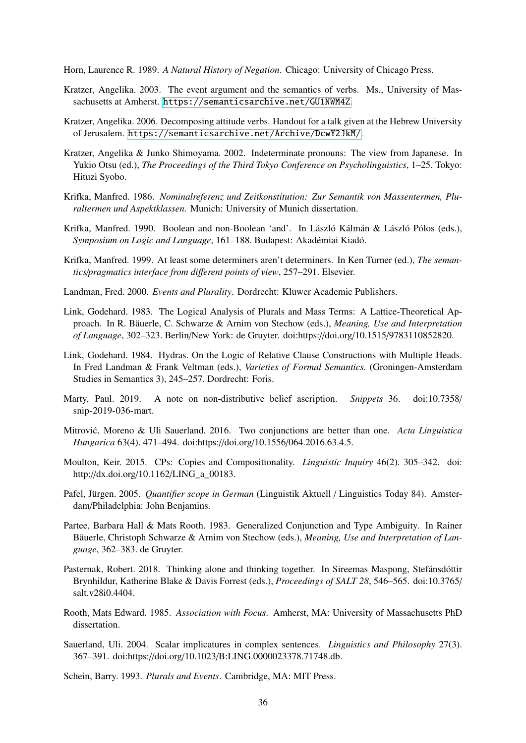<span id="page-35-17"></span>Horn, Laurence R. 1989. *A Natural History of Negation*. Chicago: University of Chicago Press.

- <span id="page-35-1"></span>Kratzer, Angelika. 2003. The event argument and the semantics of verbs. Ms., University of Massachusetts at Amherst. [https://semanticsarchive.net/GU1NWM4Z](https://semanticsarchive.net / GU1NWM4Z).
- <span id="page-35-11"></span>Kratzer, Angelika. 2006. Decomposing attitude verbs. Handout for a talk given at the Hebrew University of Jerusalem. <https://semanticsarchive.net/Archive/DcwY2JkM/>.
- <span id="page-35-4"></span>Kratzer, Angelika & Junko Shimoyama. 2002. Indeterminate pronouns: The view from Japanese. In Yukio Otsu (ed.), *The Proceedings of the Third Tokyo Conference on Psycholinguistics*, 1–25. Tokyo: Hituzi Syobo.
- <span id="page-35-7"></span>Krifka, Manfred. 1986. *Nominalreferenz und Zeitkonstitution: Zur Semantik von Massentermen, Pluraltermen und Aspektklassen*. Munich: University of Munich dissertation.
- <span id="page-35-6"></span>Krifka, Manfred. 1990. Boolean and non-Boolean 'and'. In László Kálmán & László Pólos (eds.), *Symposium on Logic and Language*, 161–188. Budapest: Akadémiai Kiadó.
- <span id="page-35-15"></span>Krifka, Manfred. 1999. At least some determiners aren't determiners. In Ken Turner (ed.), *The semantics*/*pragmatics interface from di*ff*erent points of view*, 257–291. Elsevier.
- <span id="page-35-16"></span>Landman, Fred. 2000. *Events and Plurality*. Dordrecht: Kluwer Academic Publishers.
- <span id="page-35-2"></span>Link, Godehard. 1983. The Logical Analysis of Plurals and Mass Terms: A Lattice-Theoretical Approach. In R. Bäuerle, C. Schwarze & Arnim von Stechow (eds.), *Meaning, Use and Interpretation of Language*, 302–323. Berlin/New York: de Gruyter. doi:https://doi.org/10.1515/9783110852820.
- <span id="page-35-5"></span>Link, Godehard. 1984. Hydras. On the Logic of Relative Clause Constructions with Multiple Heads. In Fred Landman & Frank Veltman (eds.), *Varieties of Formal Semantics.* (Groningen-Amsterdam Studies in Semantics 3), 245–257. Dordrecht: Foris.
- <span id="page-35-14"></span>Marty, Paul. 2019. A note on non-distributive belief ascription. *Snippets* 36. doi:10.7358/ snip-2019-036-mart.
- <span id="page-35-10"></span>Mitrovic, Moreno & Uli Sauerland. 2016. Two conjunctions are better than one. ´ *Acta Linguistica Hungarica* 63(4). 471–494. doi:https://doi.org/10.1556/064.2016.63.4.5.
- <span id="page-35-12"></span>Moulton, Keir. 2015. CPs: Copies and Compositionality. *Linguistic Inquiry* 46(2). 305–342. doi: http://dx.doi.org/10.1162/LING\_a\_00183.
- <span id="page-35-9"></span>Pafel, Jürgen. 2005. *Quantifier scope in German* (Linguistik Aktuell / Linguistics Today 84). Amsterdam/Philadelphia: John Benjamins.
- <span id="page-35-8"></span>Partee, Barbara Hall & Mats Rooth. 1983. Generalized Conjunction and Type Ambiguity. In Rainer Bäuerle, Christoph Schwarze & Arnim von Stechow (eds.), *Meaning, Use and Interpretation of Language*, 362–383. de Gruyter.
- <span id="page-35-13"></span>Pasternak, Robert. 2018. Thinking alone and thinking together. In Sireemas Maspong, Stefánsdóttir Brynhildur, Katherine Blake & Davis Forrest (eds.), *Proceedings of SALT 28*, 546–565. doi:10.3765/ salt.v28i0.4404.
- <span id="page-35-3"></span>Rooth, Mats Edward. 1985. *Association with Focus*. Amherst, MA: University of Massachusetts PhD dissertation.
- <span id="page-35-18"></span>Sauerland, Uli. 2004. Scalar implicatures in complex sentences. *Linguistics and Philosophy* 27(3). 367–391. doi:https://doi.org/10.1023/B:LING.0000023378.71748.db.

<span id="page-35-0"></span>Schein, Barry. 1993. *Plurals and Events*. Cambridge, MA: MIT Press.